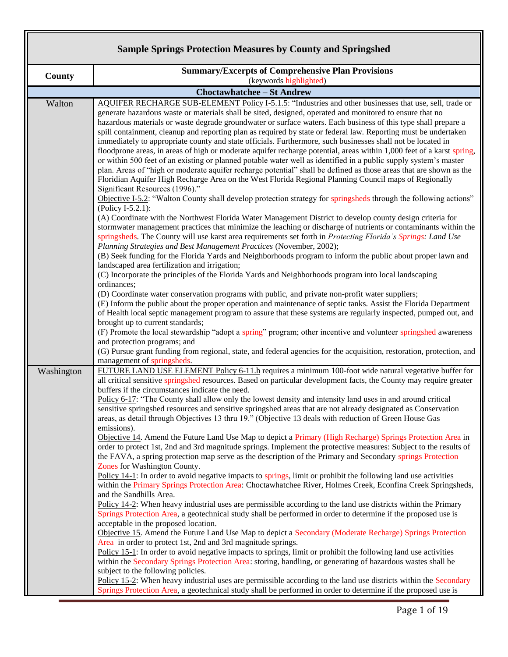## **Sample Springs Protection Measures by County and Springshed**

| <b>County</b><br>Walton                                                                                | (keywords highlighted)<br><b>Choctawhatchee - St Andrew</b><br>AQUIFER RECHARGE SUB-ELEMENT Policy I-5.1.5: "Industries and other businesses that use, sell, trade or<br>generate hazardous waste or materials shall be sited, designed, operated and monitored to ensure that no<br>hazardous materials or waste degrade groundwater or surface waters. Each business of this type shall prepare a<br>spill containment, cleanup and reporting plan as required by state or federal law. Reporting must be undertaken<br>immediately to appropriate county and state officials. Furthermore, such businesses shall not be located in<br>floodprone areas, in areas of high or moderate aquifer recharge potential, areas within 1,000 feet of a karst spring,<br>or within 500 feet of an existing or planned potable water well as identified in a public supply system's master<br>plan. Areas of "high or moderate aquifer recharge potential" shall be defined as those areas that are shown as the                                                                                                                                                                                                                                                          |
|--------------------------------------------------------------------------------------------------------|-------------------------------------------------------------------------------------------------------------------------------------------------------------------------------------------------------------------------------------------------------------------------------------------------------------------------------------------------------------------------------------------------------------------------------------------------------------------------------------------------------------------------------------------------------------------------------------------------------------------------------------------------------------------------------------------------------------------------------------------------------------------------------------------------------------------------------------------------------------------------------------------------------------------------------------------------------------------------------------------------------------------------------------------------------------------------------------------------------------------------------------------------------------------------------------------------------------------------------------------------------------------|
|                                                                                                        |                                                                                                                                                                                                                                                                                                                                                                                                                                                                                                                                                                                                                                                                                                                                                                                                                                                                                                                                                                                                                                                                                                                                                                                                                                                                   |
|                                                                                                        |                                                                                                                                                                                                                                                                                                                                                                                                                                                                                                                                                                                                                                                                                                                                                                                                                                                                                                                                                                                                                                                                                                                                                                                                                                                                   |
| Significant Resources (1996)."<br>(Policy I-5.2.1):<br>ordinances;<br>brought up to current standards; | Floridian Aquifer High Recharge Area on the West Florida Regional Planning Council maps of Regionally<br>Objective I-5.2: "Walton County shall develop protection strategy for springsheds through the following actions"<br>(A) Coordinate with the Northwest Florida Water Management District to develop county design criteria for<br>stormwater management practices that minimize the leaching or discharge of nutrients or contaminants within the<br>springsheds. The County will use karst area requirements set forth in Protecting Florida's Springs: Land Use<br>Planning Strategies and Best Management Practices (November, 2002);<br>(B) Seek funding for the Florida Yards and Neighborhoods program to inform the public about proper lawn and<br>landscaped area fertilization and irrigation;<br>(C) Incorporate the principles of the Florida Yards and Neighborhoods program into local landscaping<br>(D) Coordinate water conservation programs with public, and private non-profit water suppliers;<br>(E) Inform the public about the proper operation and maintenance of septic tanks. Assist the Florida Department<br>of Health local septic management program to assure that these systems are regularly inspected, pumped out, and |
|                                                                                                        | (F) Promote the local stewardship "adopt a spring" program; other incentive and volunteer springshed awareness                                                                                                                                                                                                                                                                                                                                                                                                                                                                                                                                                                                                                                                                                                                                                                                                                                                                                                                                                                                                                                                                                                                                                    |
| and protection programs; and<br>management of springsheds.                                             | (G) Pursue grant funding from regional, state, and federal agencies for the acquisition, restoration, protection, and                                                                                                                                                                                                                                                                                                                                                                                                                                                                                                                                                                                                                                                                                                                                                                                                                                                                                                                                                                                                                                                                                                                                             |
| Washington<br>emissions).                                                                              | FUTURE LAND USE ELEMENT Policy 6-11.h requires a minimum 100-foot wide natural vegetative buffer for<br>all critical sensitive springshed resources. Based on particular development facts, the County may require greater<br>buffers if the circumstances indicate the need.<br>Policy 6-17: "The County shall allow only the lowest density and intensity land uses in and around critical<br>sensitive springshed resources and sensitive springshed areas that are not already designated as Conservation<br>areas, as detail through Objectives 13 thru 19." (Objective 13 deals with reduction of Green House Gas                                                                                                                                                                                                                                                                                                                                                                                                                                                                                                                                                                                                                                           |
| Zones for Washington County.<br>and the Sandhills Area.                                                | Objective 14. Amend the Future Land Use Map to depict a Primary (High Recharge) Springs Protection Area in<br>order to protect 1st, 2nd and 3rd magnitude springs. Implement the protective measures: Subject to the results of<br>the FAVA, a spring protection map serve as the description of the Primary and Secondary springs Protection<br>Policy 14-1: In order to avoid negative impacts to springs, limit or prohibit the following land use activities<br>within the Primary Springs Protection Area: Choctawhatchee River, Holmes Creek, Econfina Creek Springsheds,                                                                                                                                                                                                                                                                                                                                                                                                                                                                                                                                                                                                                                                                                   |
| acceptable in the proposed location.<br>subject to the following policies.                             | Policy 14-2: When heavy industrial uses are permissible according to the land use districts within the Primary<br>Springs Protection Area, a geotechnical study shall be performed in order to determine if the proposed use is<br>Objective 15. Amend the Future Land Use Map to depict a Secondary (Moderate Recharge) Springs Protection<br>Area in order to protect 1st, 2nd and 3rd magnitude springs.<br>Policy 15-1: In order to avoid negative impacts to springs, limit or prohibit the following land use activities<br>within the Secondary Springs Protection Area: storing, handling, or generating of hazardous wastes shall be<br>Policy 15-2: When heavy industrial uses are permissible according to the land use districts within the Secondary<br>Springs Protection Area, a geotechnical study shall be performed in order to determine if the proposed use is                                                                                                                                                                                                                                                                                                                                                                                |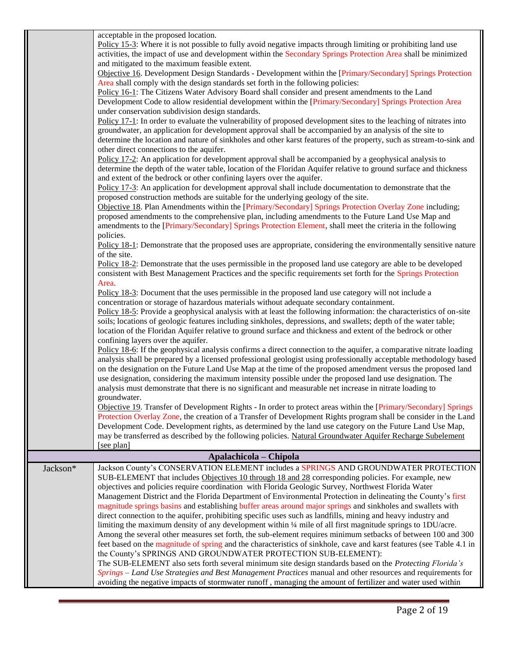acceptable in the proposed location.

|          | acceptable in the proposed location.                                                                                 |
|----------|----------------------------------------------------------------------------------------------------------------------|
|          | Policy 15-3: Where it is not possible to fully avoid negative impacts through limiting or prohibiting land use       |
|          | activities, the impact of use and development within the Secondary Springs Protection Area shall be minimized        |
|          | and mitigated to the maximum feasible extent.                                                                        |
|          | Objective 16. Development Design Standards - Development within the [Primary/Secondary] Springs Protection           |
|          | Area shall comply with the design standards set forth in the following policies:                                     |
|          | Policy 16-1: The Citizens Water Advisory Board shall consider and present amendments to the Land                     |
|          | Development Code to allow residential development within the [Primary/Secondary] Springs Protection Area             |
|          |                                                                                                                      |
|          | under conservation subdivision design standards.                                                                     |
|          | Policy 17-1: In order to evaluate the vulnerability of proposed development sites to the leaching of nitrates into   |
|          | groundwater, an application for development approval shall be accompanied by an analysis of the site to              |
|          | determine the location and nature of sinkholes and other karst features of the property, such as stream-to-sink and  |
|          | other direct connections to the aquifer.                                                                             |
|          | Policy 17-2: An application for development approval shall be accompanied by a geophysical analysis to               |
|          | determine the depth of the water table, location of the Floridan Aquifer relative to ground surface and thickness    |
|          | and extent of the bedrock or other confining layers over the aquifer.                                                |
|          | Policy 17-3: An application for development approval shall include documentation to demonstrate that the             |
|          | proposed construction methods are suitable for the underlying geology of the site.                                   |
|          | Objective 18. Plan Amendments within the [Primary/Secondary] Springs Protection Overlay Zone including;              |
|          | proposed amendments to the comprehensive plan, including amendments to the Future Land Use Map and                   |
|          | amendments to the [Primary/Secondary] Springs Protection Element, shall meet the criteria in the following           |
|          |                                                                                                                      |
|          | policies.                                                                                                            |
|          | Policy 18-1: Demonstrate that the proposed uses are appropriate, considering the environmentally sensitive nature    |
|          | of the site.                                                                                                         |
|          | Policy 18-2: Demonstrate that the uses permissible in the proposed land use category are able to be developed        |
|          | consistent with Best Management Practices and the specific requirements set forth for the Springs Protection         |
|          | Area.                                                                                                                |
|          | Policy 18-3: Document that the uses permissible in the proposed land use category will not include a                 |
|          | concentration or storage of hazardous materials without adequate secondary containment.                              |
|          | Policy 18-5: Provide a geophysical analysis with at least the following information: the characteristics of on-site  |
|          | soils; locations of geologic features including sinkholes, depressions, and swallets; depth of the water table;      |
|          | location of the Floridan Aquifer relative to ground surface and thickness and extent of the bedrock or other         |
|          | confining layers over the aquifer.                                                                                   |
|          | Policy 18-6: If the geophysical analysis confirms a direct connection to the aquifer, a comparative nitrate loading  |
|          | analysis shall be prepared by a licensed professional geologist using professionally acceptable methodology based    |
|          | on the designation on the Future Land Use Map at the time of the proposed amendment versus the proposed land         |
|          |                                                                                                                      |
|          | use designation, considering the maximum intensity possible under the proposed land use designation. The             |
|          | analysis must demonstrate that there is no significant and measurable net increase in nitrate loading to             |
|          | groundwater.                                                                                                         |
|          | Objective 19. Transfer of Development Rights - In order to protect areas within the [Primary/Secondary] Springs      |
|          | Protection Overlay Zone, the creation of a Transfer of Development Rights program shall be consider in the Land      |
|          | Development Code. Development rights, as determined by the land use category on the Future Land Use Map,             |
|          | may be transferred as described by the following policies. Natural Groundwater Aquifer Recharge Subelement           |
|          | [see plan]                                                                                                           |
|          | Apalachicola - Chipola                                                                                               |
| Jackson* | Jackson County's CONSERVATION ELEMENT includes a SPRINGS AND GROUNDWATER PROTECTION                                  |
|          | SUB-ELEMENT that includes Objectives 10 through 18 and 28 corresponding policies. For example, new                   |
|          | objectives and policies require coordination with Florida Geologic Survey, Northwest Florida Water                   |
|          |                                                                                                                      |
|          | Management District and the Florida Department of Environmental Protection in delineating the County's first         |
|          | magnitude springs basins and establishing buffer areas around major springs and sinkholes and swallets with          |
|          | direct connection to the aquifer, prohibiting specific uses such as landfills, mining and heavy industry and         |
|          | limiting the maximum density of any development within 1/4 mile of all first magnitude springs to 1DU/acre.          |
|          | Among the several other measures set forth, the sub-element requires minimum setbacks of between 100 and 300         |
|          | feet based on the magnitude of spring and the characteristics of sinkhole, cave and karst features (see Table 4.1 in |
|          | the County's SPRINGS AND GROUNDWATER PROTECTION SUB-ELEMENT):                                                        |
|          | The SUB-ELEMENT also sets forth several minimum site design standards based on the Protecting Florida's              |
|          | Springs - Land Use Strategies and Best Management Practices manual and other resources and requirements for          |
|          | avoiding the negative impacts of stormwater runoff, managing the amount of fertilizer and water used within          |
|          |                                                                                                                      |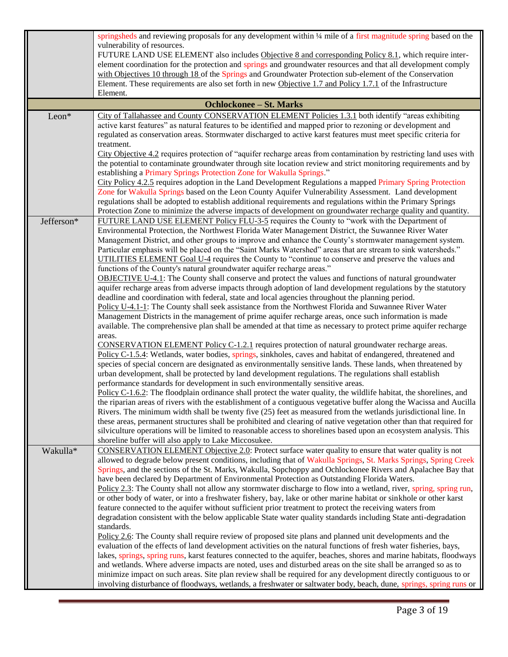|                                | springsheds and reviewing proposals for any development within 1/4 mile of a first magnitude spring based on the                                                                                                                  |  |
|--------------------------------|-----------------------------------------------------------------------------------------------------------------------------------------------------------------------------------------------------------------------------------|--|
|                                | vulnerability of resources.                                                                                                                                                                                                       |  |
|                                | FUTURE LAND USE ELEMENT also includes Objective 8 and corresponding Policy 8.1, which require inter-                                                                                                                              |  |
|                                | element coordination for the protection and springs and groundwater resources and that all development comply                                                                                                                     |  |
|                                | with Objectives 10 through 18 of the Springs and Groundwater Protection sub-element of the Conservation                                                                                                                           |  |
|                                | Element. These requirements are also set forth in new Objective 1.7 and Policy 1.7.1 of the Infrastructure<br>Element.                                                                                                            |  |
| <b>Ochlockonee - St. Marks</b> |                                                                                                                                                                                                                                   |  |
| Leon*                          | City of Tallahassee and County CONSERVATION ELEMENT Policies 1.3.1 both identify "areas exhibiting                                                                                                                                |  |
|                                | active karst features" as natural features to be identified and mapped prior to rezoning or development and                                                                                                                       |  |
|                                | regulated as conservation areas. Stormwater discharged to active karst features must meet specific criteria for                                                                                                                   |  |
|                                | treatment.                                                                                                                                                                                                                        |  |
|                                | City Objective 4.2 requires protection of "aquifer recharge areas from contamination by restricting land uses with                                                                                                                |  |
|                                | the potential to contaminate groundwater through site location review and strict monitoring requirements and by                                                                                                                   |  |
|                                | establishing a Primary Springs Protection Zone for Wakulla Springs."                                                                                                                                                              |  |
|                                | City Policy 4.2.5 requires adoption in the Land Development Regulations a mapped Primary Spring Protection                                                                                                                        |  |
|                                | Zone for Wakulla Springs based on the Leon County Aquifer Vulnerability Assessment. Land development                                                                                                                              |  |
|                                | regulations shall be adopted to establish additional requirements and regulations within the Primary Springs                                                                                                                      |  |
| Jefferson*                     | Protection Zone to minimize the adverse impacts of development on groundwater recharge quality and quantity.<br>FUTURE LAND USE ELEMENT Policy FLU-3-5 requires the County to "work with the Department of                        |  |
|                                | Environmental Protection, the Northwest Florida Water Management District, the Suwannee River Water                                                                                                                               |  |
|                                | Management District, and other groups to improve and enhance the County's stormwater management system.                                                                                                                           |  |
|                                | Particular emphasis will be placed on the "Saint Marks Watershed" areas that are stream to sink watersheds."                                                                                                                      |  |
|                                | UTILITIES ELEMENT Goal U-4 requires the County to "continue to conserve and preserve the values and                                                                                                                               |  |
|                                | functions of the County's natural groundwater aquifer recharge areas."                                                                                                                                                            |  |
|                                | <b>OBJECTIVE U-4.1</b> : The County shall conserve and protect the values and functions of natural groundwater                                                                                                                    |  |
|                                | aquifer recharge areas from adverse impacts through adoption of land development regulations by the statutory                                                                                                                     |  |
|                                | deadline and coordination with federal, state and local agencies throughout the planning period.                                                                                                                                  |  |
|                                | Policy U-4.1-1: The County shall seek assistance from the Northwest Florida and Suwannee River Water                                                                                                                              |  |
|                                | Management Districts in the management of prime aquifer recharge areas, once such information is made                                                                                                                             |  |
|                                | available. The comprehensive plan shall be amended at that time as necessary to protect prime aquifer recharge<br>areas.                                                                                                          |  |
|                                | <b>CONSERVATION ELEMENT Policy C-1.2.1</b> requires protection of natural groundwater recharge areas.                                                                                                                             |  |
|                                | Policy C-1.5.4: Wetlands, water bodies, springs, sinkholes, caves and habitat of endangered, threatened and                                                                                                                       |  |
|                                | species of special concern are designated as environmentally sensitive lands. These lands, when threatened by                                                                                                                     |  |
|                                | urban development, shall be protected by land development regulations. The regulations shall establish                                                                                                                            |  |
|                                | performance standards for development in such environmentally sensitive areas.                                                                                                                                                    |  |
|                                | Policy C-1.6.2: The floodplain ordinance shall protect the water quality, the wildlife habitat, the shorelines, and                                                                                                               |  |
|                                | the riparian areas of rivers with the establishment of a contiguous vegetative buffer along the Wacissa and Aucilla                                                                                                               |  |
|                                | Rivers. The minimum width shall be twenty five (25) feet as measured from the wetlands jurisdictional line. In                                                                                                                    |  |
|                                | these areas, permanent structures shall be prohibited and clearing of native vegetation other than that required for                                                                                                              |  |
|                                | silviculture operations will be limited to reasonable access to shorelines based upon an ecosystem analysis. This                                                                                                                 |  |
| Wakulla*                       | shoreline buffer will also apply to Lake Miccosukee.<br><b>CONSERVATION ELEMENT Objective 2.0:</b> Protect surface water quality to ensure that water quality is not                                                              |  |
|                                | allowed to degrade below present conditions, including that of Wakulla Springs, St. Marks Springs, Spring Creek                                                                                                                   |  |
|                                | Springs, and the sections of the St. Marks, Wakulla, Sopchoppy and Ochlockonee Rivers and Apalachee Bay that                                                                                                                      |  |
|                                | have been declared by Department of Environmental Protection as Outstanding Florida Waters.                                                                                                                                       |  |
|                                | Policy 2.3: The County shall not allow any stormwater discharge to flow into a wetland, river, spring, spring run,                                                                                                                |  |
|                                | or other body of water, or into a freshwater fishery, bay, lake or other marine habitat or sinkhole or other karst                                                                                                                |  |
|                                | feature connected to the aquifer without sufficient prior treatment to protect the receiving waters from                                                                                                                          |  |
|                                | degradation consistent with the below applicable State water quality standards including State anti-degradation                                                                                                                   |  |
|                                | standards.                                                                                                                                                                                                                        |  |
|                                | Policy 2.6: The County shall require review of proposed site plans and planned unit developments and the                                                                                                                          |  |
|                                | evaluation of the effects of land development activities on the natural functions of fresh water fisheries, bays,                                                                                                                 |  |
|                                | lakes, springs, spring runs, karst features connected to the aquifer, beaches, shores and marine habitats, floodways                                                                                                              |  |
|                                | and wetlands. Where adverse impacts are noted, uses and disturbed areas on the site shall be arranged so as to<br>minimize impact on such areas. Site plan review shall be required for any development directly contiguous to or |  |
|                                | involving disturbance of floodways, wetlands, a freshwater or saltwater body, beach, dune, springs, spring runs or                                                                                                                |  |
|                                |                                                                                                                                                                                                                                   |  |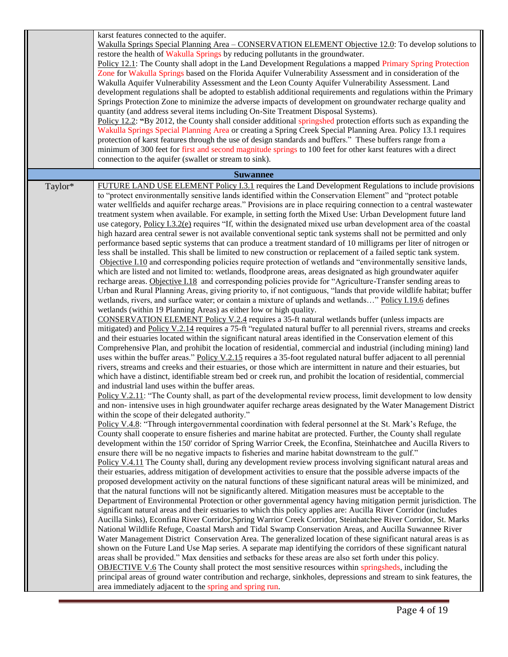|         | karst features connected to the aquifer.<br>Wakulla Springs Special Planning Area - CONSERVATION ELEMENT Objective 12.0: To develop solutions to<br>restore the health of Wakulla Springs by reducing pollutants in the groundwater.<br>Policy 12.1: The County shall adopt in the Land Development Regulations a mapped Primary Spring Protection<br>Zone for Wakulla Springs based on the Florida Aquifer Vulnerability Assessment and in consideration of the<br>Wakulla Aquifer Vulnerability Assessment and the Leon County Aquifer Vulnerability Assessment. Land<br>development regulations shall be adopted to establish additional requirements and regulations within the Primary<br>Springs Protection Zone to minimize the adverse impacts of development on groundwater recharge quality and<br>quantity (and address several items including On-Site Treatment Disposal Systems).<br>Policy 12.2: "By 2012, the County shall consider additional springshed protection efforts such as expanding the<br>Wakulla Springs Special Planning Area or creating a Spring Creek Special Planning Area. Policy 13.1 requires<br>protection of karst features through the use of design standards and buffers." These buffers range from a<br>minimum of 300 feet for first and second magnitude springs to 100 feet for other karst features with a direct<br>connection to the aquifer (swallet or stream to sink).                                                                                                                                                                                                                                                                                                                                                                                                                                                                                                                                                                                                                                                                                                                                                                                                                                                                                                                                                                                                                                                                                                                                                                                                                                                                                                                                                                                                                                                                                                                                                                                                                                                                                                                                                                                                                                                                                                                                                                                                                                                                                                                                                                                                                                                                                                                                                                                                                                                                                                                                                                                                                                                                                                                                                                                                                                                                                                                                                                                                                                                                                                                                                                                                                                                                                                                                                                                                               |
|---------|------------------------------------------------------------------------------------------------------------------------------------------------------------------------------------------------------------------------------------------------------------------------------------------------------------------------------------------------------------------------------------------------------------------------------------------------------------------------------------------------------------------------------------------------------------------------------------------------------------------------------------------------------------------------------------------------------------------------------------------------------------------------------------------------------------------------------------------------------------------------------------------------------------------------------------------------------------------------------------------------------------------------------------------------------------------------------------------------------------------------------------------------------------------------------------------------------------------------------------------------------------------------------------------------------------------------------------------------------------------------------------------------------------------------------------------------------------------------------------------------------------------------------------------------------------------------------------------------------------------------------------------------------------------------------------------------------------------------------------------------------------------------------------------------------------------------------------------------------------------------------------------------------------------------------------------------------------------------------------------------------------------------------------------------------------------------------------------------------------------------------------------------------------------------------------------------------------------------------------------------------------------------------------------------------------------------------------------------------------------------------------------------------------------------------------------------------------------------------------------------------------------------------------------------------------------------------------------------------------------------------------------------------------------------------------------------------------------------------------------------------------------------------------------------------------------------------------------------------------------------------------------------------------------------------------------------------------------------------------------------------------------------------------------------------------------------------------------------------------------------------------------------------------------------------------------------------------------------------------------------------------------------------------------------------------------------------------------------------------------------------------------------------------------------------------------------------------------------------------------------------------------------------------------------------------------------------------------------------------------------------------------------------------------------------------------------------------------------------------------------------------------------------------------------------------------------------------------------------------------------------------------------------------------------------------------------------------------------------------------------------------------------------------------------------------------------------------------------------------------------------------------------------------------------------------------------------------------------------------------------------------------------------------------------------------------------------------------------------------------------------------------------------------------------------------------------------------------------------------------------------------------------------------------------------------------------------------------------------------------------------------------------------------------------------------------------------------------------------------------------------------------------------------------------------------------------------------------|
|         | <b>Suwannee</b>                                                                                                                                                                                                                                                                                                                                                                                                                                                                                                                                                                                                                                                                                                                                                                                                                                                                                                                                                                                                                                                                                                                                                                                                                                                                                                                                                                                                                                                                                                                                                                                                                                                                                                                                                                                                                                                                                                                                                                                                                                                                                                                                                                                                                                                                                                                                                                                                                                                                                                                                                                                                                                                                                                                                                                                                                                                                                                                                                                                                                                                                                                                                                                                                                                                                                                                                                                                                                                                                                                                                                                                                                                                                                                                                                                                                                                                                                                                                                                                                                                                                                                                                                                                                                                                                                                                                                                                                                                                                                                                                                                                                                                                                                                                                                                                                                          |
| Taylor* | FUTURE LAND USE ELEMENT Policy I.3.1 requires the Land Development Regulations to include provisions<br>to "protect environmentally sensitive lands identified within the Conservation Element" and "protect potable<br>water wellfields and aquifer recharge areas." Provisions are in place requiring connection to a central wastewater<br>treatment system when available. For example, in setting forth the Mixed Use: Urban Development future land<br>use category, Policy I.3.2(e) requires "If, within the designated mixed use urban development area of the coastal<br>high hazard area central sewer is not available conventional septic tank systems shall not be permitted and only<br>performance based septic systems that can produce a treatment standard of 10 milligrams per liter of nitrogen or<br>less shall be installed. This shall be limited to new construction or replacement of a failed septic tank system.<br>Objective I.10 and corresponding policies require protection of wetlands and "environmentally sensitive lands,<br>which are listed and not limited to: wetlands, floodprone areas, areas designated as high groundwater aquifer<br>recharge areas. Objective I.18 and corresponding policies provide for "Agriculture-Transfer sending areas to<br>Urban and Rural Planning Areas, giving priority to, if not contiguous, "lands that provide wildlife habitat; buffer<br>wetlands, rivers, and surface water; or contain a mixture of uplands and wetlands" Policy I.19.6 defines<br>wetlands (within 19 Planning Areas) as either low or high quality.<br>CONSERVATION ELEMENT Policy V.2.4 requires a 35-ft natural wetlands buffer (unless impacts are<br>mitigated) and Policy V.2.14 requires a 75-ft "regulated natural buffer to all perennial rivers, streams and creeks<br>and their estuaries located within the significant natural areas identified in the Conservation element of this<br>Comprehensive Plan, and prohibit the location of residential, commercial and industrial (including mining) land<br>uses within the buffer areas." Policy V.2.15 requires a 35-foot regulated natural buffer adjacent to all perennial<br>rivers, streams and creeks and their estuaries, or those which are intermittent in nature and their estuaries, but<br>which have a distinct, identifiable stream bed or creek run, and prohibit the location of residential, commercial<br>and industrial land uses within the buffer areas.<br>Policy V.2.11: "The County shall, as part of the developmental review process, limit development to low density<br>and non-intensive uses in high groundwater aquifer recharge areas designated by the Water Management District<br>within the scope of their delegated authority."<br>Policy V.4.8: "Through intergovernmental coordination with federal personnel at the St. Mark's Refuge, the<br>County shall cooperate to ensure fisheries and marine habitat are protected. Further, the County shall regulate<br>development within the 150' corridor of Spring Warrior Creek, the Econfina, Steinhatchee and Aucilla Rivers to<br>ensure there will be no negative impacts to fisheries and marine habitat downstream to the gulf."<br>Policy V.4.11 The County shall, during any development review process involving significant natural areas and<br>their estuaries, address mitigation of development activities to ensure that the possible adverse impacts of the<br>proposed development activity on the natural functions of these significant natural areas will be minimized, and<br>that the natural functions will not be significantly altered. Mitigation measures must be acceptable to the<br>Department of Environmental Protection or other governmental agency having mitigation permit jurisdiction. The<br>significant natural areas and their estuaries to which this policy applies are: Aucilla River Corridor (includes<br>Aucilla Sinks), Econfina River Corridor, Spring Warrior Creek Corridor, Steinhatchee River Corridor, St. Marks<br>National Wildlife Refuge, Coastal Marsh and Tidal Swamp Conservation Areas, and Aucilla Suwannee River<br>Water Management District Conservation Area. The generalized location of these significant natural areas is as<br>shown on the Future Land Use Map series. A separate map identifying the corridors of these significant natural<br>areas shall be provided." Max densities and setbacks for these areas are also set forth under this policy.<br><b>OBJECTIVE V.6</b> The County shall protect the most sensitive resources within springsheds, including the<br>principal areas of ground water contribution and recharge, sinkholes, depressions and stream to sink features, the<br>area immediately adjacent to the spring and spring run. |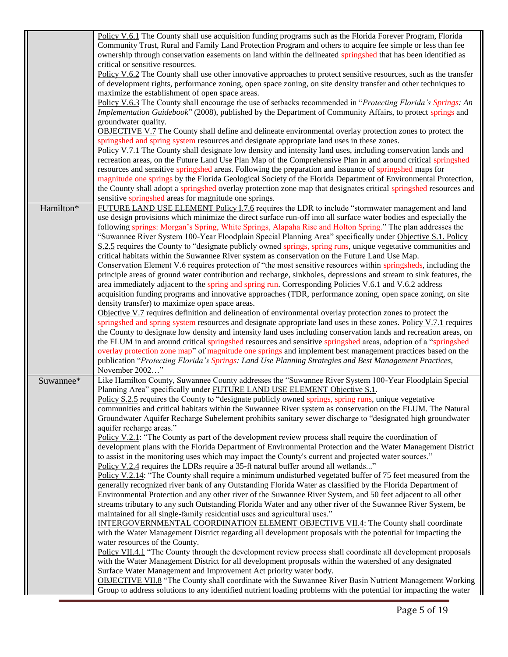| Policy V.6.1 The County shall use acquisition funding programs such as the Florida Forever Program, Florida<br>Community Trust, Rural and Family Land Protection Program and others to acquire fee simple or less than fee<br>ownership through conservation easements on land within the delineated springshed that has been identified as |  |
|---------------------------------------------------------------------------------------------------------------------------------------------------------------------------------------------------------------------------------------------------------------------------------------------------------------------------------------------|--|
| critical or sensitive resources.                                                                                                                                                                                                                                                                                                            |  |
| Policy V.6.2 The County shall use other innovative approaches to protect sensitive resources, such as the transfer<br>of development rights, performance zoning, open space zoning, on site density transfer and other techniques to                                                                                                        |  |
| maximize the establishment of open space areas.                                                                                                                                                                                                                                                                                             |  |
| Policy V.6.3 The County shall encourage the use of setbacks recommended in "Protecting Florida's Springs: An<br>Implementation Guidebook" (2008), published by the Department of Community Affairs, to protect springs and                                                                                                                  |  |
| groundwater quality.                                                                                                                                                                                                                                                                                                                        |  |
| <b>OBJECTIVE V.7</b> The County shall define and delineate environmental overlay protection zones to protect the<br>springshed and spring system resources and designate appropriate land uses in these zones.                                                                                                                              |  |
| Policy V.7.1 The County shall designate low density and intensity land uses, including conservation lands and                                                                                                                                                                                                                               |  |
| recreation areas, on the Future Land Use Plan Map of the Comprehensive Plan in and around critical springshed                                                                                                                                                                                                                               |  |
| resources and sensitive springshed areas. Following the preparation and issuance of springshed maps for<br>magnitude one springs by the Florida Geological Society of the Florida Department of Environmental Protection,                                                                                                                   |  |
| the County shall adopt a springshed overlay protection zone map that designates critical springshed resources and                                                                                                                                                                                                                           |  |
| sensitive springshed areas for magnitude one springs.                                                                                                                                                                                                                                                                                       |  |
| FUTURE LAND USE ELEMENT Policy I.7.6 requires the LDR to include "stormwater management and land<br>Hamilton*                                                                                                                                                                                                                               |  |
| use design provisions which minimize the direct surface run-off into all surface water bodies and especially the                                                                                                                                                                                                                            |  |
| following springs: Morgan's Spring, White Springs, Alapaha Rise and Holton Spring." The plan addresses the<br>"Suwannee River System 100-Year Floodplain Special Planning Area" specifically under Objective S.1. Policy                                                                                                                    |  |
| S.2.5 requires the County to "designate publicly owned springs, spring runs, unique vegetative communities and<br>critical habitats within the Suwannee River system as conservation on the Future Land Use Map.                                                                                                                            |  |
| Conservation Element V.6 requires protection of "the most sensitive resources within springsheds, including the                                                                                                                                                                                                                             |  |
| principle areas of ground water contribution and recharge, sinkholes, depressions and stream to sink features, the                                                                                                                                                                                                                          |  |
| area immediately adjacent to the spring and spring run. Corresponding Policies V.6.1 and V.6.2 address                                                                                                                                                                                                                                      |  |
| acquisition funding programs and innovative approaches (TDR, performance zoning, open space zoning, on site                                                                                                                                                                                                                                 |  |
| density transfer) to maximize open space areas.                                                                                                                                                                                                                                                                                             |  |
| Objective V.7 requires definition and delineation of environmental overlay protection zones to protect the                                                                                                                                                                                                                                  |  |
| springshed and spring system resources and designate appropriate land uses in these zones. Policy V.7.1 requires<br>the County to designate low density and intensity land uses including conservation lands and recreation areas, on                                                                                                       |  |
| the FLUM in and around critical springshed resources and sensitive springshed areas, adoption of a "springshed                                                                                                                                                                                                                              |  |
| overlay protection zone map" of magnitude one springs and implement best management practices based on the                                                                                                                                                                                                                                  |  |
| publication "Protecting Florida's Springs: Land Use Planning Strategies and Best Management Practices,                                                                                                                                                                                                                                      |  |
| November 2002"                                                                                                                                                                                                                                                                                                                              |  |
| Like Hamilton County, Suwannee County addresses the "Suwannee River System 100-Year Floodplain Special<br>Suwannee*                                                                                                                                                                                                                         |  |
| Planning Area" specifically under FUTURE LAND USE ELEMENT Objective S.1.                                                                                                                                                                                                                                                                    |  |
| Policy S.2.5 requires the County to "designate publicly owned springs, spring runs, unique vegetative<br>communities and critical habitats within the Suwannee River system as conservation on the FLUM. The Natural                                                                                                                        |  |
| Groundwater Aquifer Recharge Subelement prohibits sanitary sewer discharge to "designated high groundwater                                                                                                                                                                                                                                  |  |
| aquifer recharge areas."                                                                                                                                                                                                                                                                                                                    |  |
| Policy V.2.1: "The County as part of the development review process shall require the coordination of                                                                                                                                                                                                                                       |  |
| development plans with the Florida Department of Environmental Protection and the Water Management District                                                                                                                                                                                                                                 |  |
| to assist in the monitoring uses which may impact the County's current and projected water sources."                                                                                                                                                                                                                                        |  |
| Policy V.2.4 requires the LDRs require a 35-ft natural buffer around all wetlands"                                                                                                                                                                                                                                                          |  |
| Policy V.2.14: "The County shall require a minimum undisturbed vegetated buffer of 75 feet measured from the<br>generally recognized river bank of any Outstanding Florida Water as classified by the Florida Department of                                                                                                                 |  |
| Environmental Protection and any other river of the Suwannee River System, and 50 feet adjacent to all other                                                                                                                                                                                                                                |  |
| streams tributary to any such Outstanding Florida Water and any other river of the Suwannee River System, be                                                                                                                                                                                                                                |  |
| maintained for all single-family residential uses and agricultural uses."                                                                                                                                                                                                                                                                   |  |
| <b>INTERGOVERNMENTAL COORDINATION ELEMENT OBJECTIVE VII.4:</b> The County shall coordinate                                                                                                                                                                                                                                                  |  |
| with the Water Management District regarding all development proposals with the potential for impacting the                                                                                                                                                                                                                                 |  |
| water resources of the County.                                                                                                                                                                                                                                                                                                              |  |
| Policy VII.4.1 "The County through the development review process shall coordinate all development proposals<br>with the Water Management District for all development proposals within the watershed of any designated                                                                                                                     |  |
| Surface Water Management and Improvement Act priority water body.                                                                                                                                                                                                                                                                           |  |
| <b>OBJECTIVE VII.8</b> "The County shall coordinate with the Suwannee River Basin Nutrient Management Working                                                                                                                                                                                                                               |  |
| Group to address solutions to any identified nutrient loading problems with the potential for impacting the water                                                                                                                                                                                                                           |  |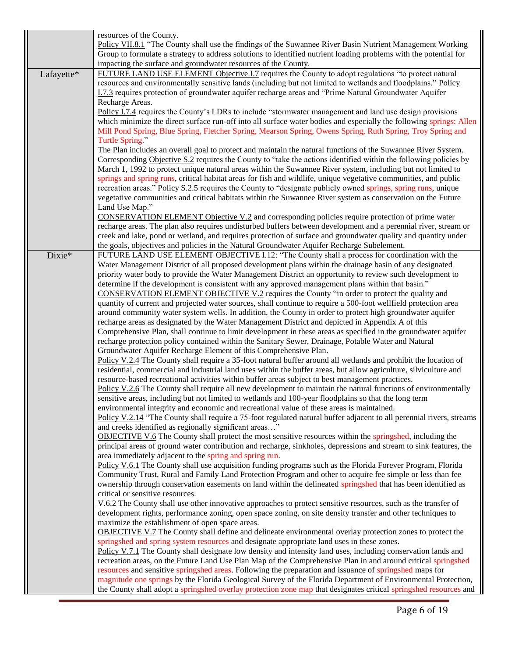|            | resources of the County.<br>Policy VII.8.1 "The County shall use the findings of the Suwannee River Basin Nutrient Management Working                                   |
|------------|-------------------------------------------------------------------------------------------------------------------------------------------------------------------------|
|            | Group to formulate a strategy to address solutions to identified nutrient loading problems with the potential for                                                       |
|            | impacting the surface and groundwater resources of the County.                                                                                                          |
| Lafayette* | FUTURE LAND USE ELEMENT Objective I.7 requires the County to adopt regulations "to protect natural                                                                      |
|            | resources and environmentally sensitive lands (including but not limited to wetlands and floodplains." Policy                                                           |
|            | I.7.3 requires protection of groundwater aquifer recharge areas and "Prime Natural Groundwater Aquifer                                                                  |
|            | Recharge Areas.                                                                                                                                                         |
|            | Policy I.7.4 requires the County's LDRs to include "stormwater management and land use design provisions                                                                |
|            | which minimize the direct surface run-off into all surface water bodies and especially the following springs: Allen                                                     |
|            | Mill Pond Spring, Blue Spring, Fletcher Spring, Mearson Spring, Owens Spring, Ruth Spring, Troy Spring and<br>Turtle Spring."                                           |
|            | The Plan includes an overall goal to protect and maintain the natural functions of the Suwannee River System.                                                           |
|            | Corresponding Objective S.2 requires the County to "take the actions identified within the following policies by                                                        |
|            | March 1, 1992 to protect unique natural areas within the Suwannee River system, including but not limited to                                                            |
|            | springs and spring runs, critical habitat areas for fish and wildlife, unique vegetative communities, and public                                                        |
|            | recreation areas." Policy S.2.5 requires the County to "designate publicly owned springs, spring runs, unique                                                           |
|            | vegetative communities and critical habitats within the Suwannee River system as conservation on the Future                                                             |
|            | Land Use Map."                                                                                                                                                          |
|            | CONSERVATION ELEMENT Objective V.2 and corresponding policies require protection of prime water                                                                         |
|            | recharge areas. The plan also requires undisturbed buffers between development and a perennial river, stream or                                                         |
|            | creek and lake, pond or wetland, and requires protection of surface and groundwater quality and quantity under                                                          |
|            | the goals, objectives and policies in the Natural Groundwater Aquifer Recharge Subelement.                                                                              |
| Dixie*     | FUTURE LAND USE ELEMENT OBJECTIVE I.12: "The County shall a process for coordination with the                                                                           |
|            | Water Management District of all proposed development plans within the drainage basin of any designated                                                                 |
|            | priority water body to provide the Water Management District an opportunity to review such development to                                                               |
|            | determine if the development is consistent with any approved management plans within that basin."                                                                       |
|            | CONSERVATION ELEMENT OBJECTIVE V.2 requires the County "in order to protect the quality and                                                                             |
|            | quantity of current and projected water sources, shall continue to require a 500-foot wellfield protection area                                                         |
|            | around community water system wells. In addition, the County in order to protect high groundwater aquifer                                                               |
|            | recharge areas as designated by the Water Management District and depicted in Appendix A of this                                                                        |
|            | Comprehensive Plan, shall continue to limit development in these areas as specified in the groundwater aquifer                                                          |
|            | recharge protection policy contained within the Sanitary Sewer, Drainage, Potable Water and Natural<br>Groundwater Aquifer Recharge Element of this Comprehensive Plan. |
|            | Policy V.2.4 The County shall require a 35-foot natural buffer around all wetlands and prohibit the location of                                                         |
|            | residential, commercial and industrial land uses within the buffer areas, but allow agriculture, silviculture and                                                       |
|            | resource-based recreational activities within buffer areas subject to best management practices.                                                                        |
|            | Policy V.2.6 The County shall require all new development to maintain the natural functions of environmentally                                                          |
|            | sensitive areas, including but not limited to wetlands and 100-year floodplains so that the long term                                                                   |
|            | environmental integrity and economic and recreational value of these areas is maintained.                                                                               |
|            | Policy V.2.14 "The County shall require a 75-foot regulated natural buffer adjacent to all perennial rivers, streams                                                    |
|            | and creeks identified as regionally significant areas"                                                                                                                  |
|            | OBJECTIVE V.6 The County shall protect the most sensitive resources within the springshed, including the                                                                |
|            | principal areas of ground water contribution and recharge, sinkholes, depressions and stream to sink features, the                                                      |
|            | area immediately adjacent to the spring and spring run.                                                                                                                 |
|            | Policy V.6.1 The County shall use acquisition funding programs such as the Florida Forever Program, Florida                                                             |
|            | Community Trust, Rural and Family Land Protection Program and other to acquire fee simple or less than fee                                                              |
|            | ownership through conservation easements on land within the delineated springshed that has been identified as                                                           |
|            | critical or sensitive resources.                                                                                                                                        |
|            | $\underline{V.6.2}$ The County shall use other innovative approaches to protect sensitive resources, such as the transfer of                                            |
|            | development rights, performance zoning, open space zoning, on site density transfer and other techniques to                                                             |
|            | maximize the establishment of open space areas.                                                                                                                         |
|            | <b>OBJECTIVE V.7</b> The County shall define and delineate environmental overlay protection zones to protect the                                                        |
|            | springshed and spring system resources and designate appropriate land uses in these zones.                                                                              |
|            | Policy V.7.1 The County shall designate low density and intensity land uses, including conservation lands and                                                           |
|            | recreation areas, on the Future Land Use Plan Map of the Comprehensive Plan in and around critical springshed                                                           |
|            | resources and sensitive springshed areas. Following the preparation and issuance of springshed maps for                                                                 |
|            | magnitude one springs by the Florida Geological Survey of the Florida Department of Environmental Protection,                                                           |
|            | the County shall adopt a springshed overlay protection zone map that designates critical springshed resources and                                                       |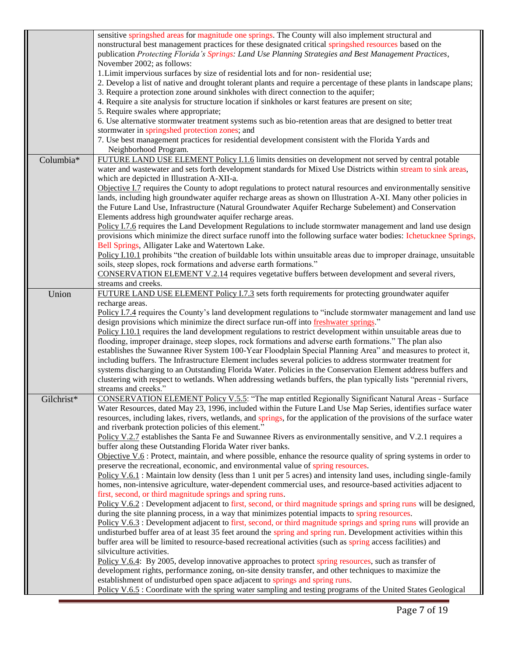|            | sensitive springshed areas for magnitude one springs. The County will also implement structural and                                                                                                     |
|------------|---------------------------------------------------------------------------------------------------------------------------------------------------------------------------------------------------------|
|            | nonstructural best management practices for these designated critical springshed resources based on the                                                                                                 |
|            | publication Protecting Florida's Springs: Land Use Planning Strategies and Best Management Practices,                                                                                                   |
|            | November 2002; as follows:                                                                                                                                                                              |
|            | 1. Limit impervious surfaces by size of residential lots and for non-residential use;                                                                                                                   |
|            | 2. Develop a list of native and drought tolerant plants and require a percentage of these plants in landscape plans;                                                                                    |
|            | 3. Require a protection zone around sinkholes with direct connection to the aquifer;                                                                                                                    |
|            | 4. Require a site analysis for structure location if sinkholes or karst features are present on site;                                                                                                   |
|            | 5. Require swales where appropriate;                                                                                                                                                                    |
|            | 6. Use alternative stormwater treatment systems such as bio-retention areas that are designed to better treat                                                                                           |
|            | stormwater in springshed protection zones; and                                                                                                                                                          |
|            | 7. Use best management practices for residential development consistent with the Florida Yards and                                                                                                      |
|            | Neighborhood Program.                                                                                                                                                                                   |
| Columbia*  | FUTURE LAND USE ELEMENT Policy I.1.6 limits densities on development not served by central potable                                                                                                      |
|            | water and wastewater and sets forth development standards for Mixed Use Districts within stream to sink areas,                                                                                          |
|            | which are depicted in Illustration A-XII-a.                                                                                                                                                             |
|            | Objective I.7 requires the County to adopt regulations to protect natural resources and environmentally sensitive                                                                                       |
|            | lands, including high groundwater aquifer recharge areas as shown on Illustration A-XI. Many other policies in                                                                                          |
|            | the Future Land Use, Infrastructure (Natural Groundwater Aquifer Recharge Subelement) and Conservation                                                                                                  |
|            | Elements address high groundwater aquifer recharge areas.                                                                                                                                               |
|            | Policy I.7.6 requires the Land Development Regulations to include stormwater management and land use design                                                                                             |
|            | provisions which minimize the direct surface runoff into the following surface water bodies: Ichetucknee Springs,                                                                                       |
|            | Bell Springs, Alligater Lake and Watertown Lake.                                                                                                                                                        |
|            | Policy I.10.1 prohibits "the creation of buildable lots within unsuitable areas due to improper drainage, unsuitable                                                                                    |
|            | soils, steep slopes, rock formations and adverse earth formations."                                                                                                                                     |
|            | CONSERVATION ELEMENT V.2.14 requires vegetative buffers between development and several rivers,                                                                                                         |
|            | streams and creeks.                                                                                                                                                                                     |
| Union      | FUTURE LAND USE ELEMENT Policy I.7.3 sets forth requirements for protecting groundwater aquifer                                                                                                         |
|            | recharge areas.                                                                                                                                                                                         |
|            | Policy I.7.4 requires the County's land development regulations to "include stormwater management and land use<br>design provisions which minimize the direct surface run-off into freshwater springs." |
|            | Policy I.10.1 requires the land development regulations to restrict development within unsuitable areas due to                                                                                          |
|            | flooding, improper drainage, steep slopes, rock formations and adverse earth formations." The plan also                                                                                                 |
|            | establishes the Suwannee River System 100-Year Floodplain Special Planning Area" and measures to protect it,                                                                                            |
|            | including buffers. The Infrastructure Element includes several policies to address stormwater treatment for                                                                                             |
|            | systems discharging to an Outstanding Florida Water. Policies in the Conservation Element address buffers and                                                                                           |
|            | clustering with respect to wetlands. When addressing wetlands buffers, the plan typically lists "perennial rivers,                                                                                      |
|            | streams and creeks."                                                                                                                                                                                    |
| Gilchrist* | CONSERVATION ELEMENT Policy V.5.5: "The map entitled Regionally Significant Natural Areas - Surface                                                                                                     |
|            | Water Resources, dated May 23, 1996, included within the Future Land Use Map Series, identifies surface water                                                                                           |
|            | resources, including lakes, rivers, wetlands, and springs, for the application of the provisions of the surface water                                                                                   |
|            | and riverbank protection policies of this element."                                                                                                                                                     |
|            | Policy V.2.7 establishes the Santa Fe and Suwannee Rivers as environmentally sensitive, and V.2.1 requires a                                                                                            |
|            | buffer along these Outstanding Florida Water river banks.                                                                                                                                               |
|            | Objective $V.6$ : Protect, maintain, and where possible, enhance the resource quality of spring systems in order to                                                                                     |
|            | preserve the recreational, economic, and environmental value of spring resources.                                                                                                                       |
|            | Policy V.6.1 : Maintain low density (less than 1 unit per 5 acres) and intensity land uses, including single-family                                                                                     |
|            | homes, non-intensive agriculture, water-dependent commercial uses, and resource-based activities adjacent to                                                                                            |
|            | first, second, or third magnitude springs and spring runs.                                                                                                                                              |
|            | Policy V.6.2: Development adjacent to first, second, or third magnitude springs and spring runs will be designed,                                                                                       |
|            | during the site planning process, in a way that minimizes potential impacts to spring resources.                                                                                                        |
|            | Policy V.6.3 : Development adjacent to first, second, or third magnitude springs and spring runs will provide an                                                                                        |
|            | undisturbed buffer area of at least 35 feet around the spring and spring run. Development activities within this                                                                                        |
|            | buffer area will be limited to resource-based recreational activities (such as spring access facilities) and                                                                                            |
|            | silviculture activities.                                                                                                                                                                                |
|            | Policy V.6.4: By 2005, develop innovative approaches to protect spring resources, such as transfer of                                                                                                   |
|            | development rights, performance zoning, on-site density transfer, and other techniques to maximize the                                                                                                  |
|            | establishment of undisturbed open space adjacent to springs and spring runs.                                                                                                                            |
|            | Policy V.6.5 : Coordinate with the spring water sampling and testing programs of the United States Geological                                                                                           |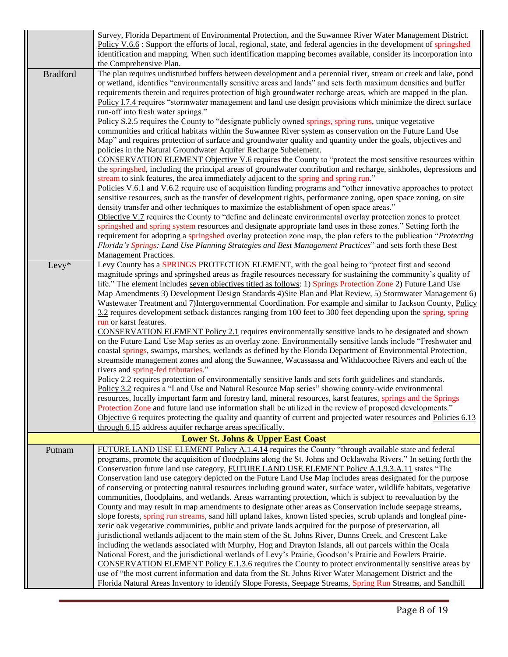|                 | Survey, Florida Department of Environmental Protection, and the Suwannee River Water Management District.<br>Policy V.6.6 : Support the efforts of local, regional, state, and federal agencies in the development of springshed<br>identification and mapping. When such identification mapping becomes available, consider its incorporation into<br>the Comprehensive Plan.                                                                                                                                                                                                                                                                                                                                                                                                                                                                                                                                                                                                                                                                                                                                                                                                                                                                                                                                                                                                                                                                                                                                                                                                                                                                                                                                                                                                                                                                       |
|-----------------|------------------------------------------------------------------------------------------------------------------------------------------------------------------------------------------------------------------------------------------------------------------------------------------------------------------------------------------------------------------------------------------------------------------------------------------------------------------------------------------------------------------------------------------------------------------------------------------------------------------------------------------------------------------------------------------------------------------------------------------------------------------------------------------------------------------------------------------------------------------------------------------------------------------------------------------------------------------------------------------------------------------------------------------------------------------------------------------------------------------------------------------------------------------------------------------------------------------------------------------------------------------------------------------------------------------------------------------------------------------------------------------------------------------------------------------------------------------------------------------------------------------------------------------------------------------------------------------------------------------------------------------------------------------------------------------------------------------------------------------------------------------------------------------------------------------------------------------------------|
| <b>Bradford</b> | The plan requires undisturbed buffers between development and a perennial river, stream or creek and lake, pond<br>or wetland, identifies "environmentally sensitive areas and lands" and sets forth maximum densities and buffer<br>requirements therein and requires protection of high groundwater recharge areas, which are mapped in the plan.<br>Policy I.7.4 requires "stormwater management and land use design provisions which minimize the direct surface<br>run-off into fresh water springs."<br>Policy S.2.5 requires the County to "designate publicly owned springs, spring runs, unique vegetative<br>communities and critical habitats within the Suwannee River system as conservation on the Future Land Use<br>Map" and requires protection of surface and groundwater quality and quantity under the goals, objectives and<br>policies in the Natural Groundwater Aquifer Recharge Subelement.<br><b>CONSERVATION ELEMENT Objective V.6</b> requires the County to "protect the most sensitive resources within<br>the springshed, including the principal areas of groundwater contribution and recharge, sinkholes, depressions and<br>stream to sink features, the area immediately adjacent to the spring and spring run."<br>Policies V.6.1 and V.6.2 require use of acquisition funding programs and "other innovative approaches to protect<br>sensitive resources, such as the transfer of development rights, performance zoning, open space zoning, on site<br>density transfer and other techniques to maximize the establishment of open space areas."<br>Objective V.7 requires the County to "define and delineate environmental overlay protection zones to protect                                                                                                                                             |
|                 | springshed and spring system resources and designate appropriate land uses in these zones." Setting forth the<br>requirement for adopting a springshed overlay protection zone map, the plan refers to the publication "Protecting<br>Florida's Springs: Land Use Planning Strategies and Best Management Practices" and sets forth these Best<br>Management Practices.                                                                                                                                                                                                                                                                                                                                                                                                                                                                                                                                                                                                                                                                                                                                                                                                                                                                                                                                                                                                                                                                                                                                                                                                                                                                                                                                                                                                                                                                              |
| Levy*           | Levy County has a SPRINGS PROTECTION ELEMENT, with the goal being to "protect first and second<br>magnitude springs and springshed areas as fragile resources necessary for sustaining the community's quality of<br>life." The element includes seven objectives titled as follows: 1) Springs Protection Zone 2) Future Land Use<br>Map Amendments 3) Development Design Standards 4) Site Plan and Plat Review, 5) Stormwater Management 6)<br>Wastewater Treatment and 7)Intergovernmental Coordination. For example and similar to Jackson County, Policy<br>3.2 requires development setback distances ranging from 100 feet to 300 feet depending upon the spring, spring<br>run or karst features.<br><b>CONSERVATION ELEMENT Policy 2.1</b> requires environmentally sensitive lands to be designated and shown<br>on the Future Land Use Map series as an overlay zone. Environmentally sensitive lands include "Freshwater and<br>coastal springs, swamps, marshes, wetlands as defined by the Florida Department of Environmental Protection,<br>streamside management zones and along the Suwannee, Wacassassa and Withlacoochee Rivers and each of the<br>rivers and spring-fed tributaries."<br>Policy 2.2 requires protection of environmentally sensitive lands and sets forth guidelines and standards.<br>Policy 3.2 requires a "Land Use and Natural Resource Map series" showing county-wide environmental<br>resources, locally important farm and forestry land, mineral resources, karst features, springs and the Springs<br>Protection Zone and future land use information shall be utilized in the review of proposed developments."<br>Objective 6 requires protecting the quality and quantity of current and projected water resources and Policies 6.13<br>through 6.15 address aquifer recharge areas specifically. |
|                 | <b>Lower St. Johns &amp; Upper East Coast</b>                                                                                                                                                                                                                                                                                                                                                                                                                                                                                                                                                                                                                                                                                                                                                                                                                                                                                                                                                                                                                                                                                                                                                                                                                                                                                                                                                                                                                                                                                                                                                                                                                                                                                                                                                                                                        |
| Putnam          | FUTURE LAND USE ELEMENT Policy A.1.4.14 requires the County "through available state and federal<br>programs, promote the acquisition of floodplains along the St. Johns and Ocklawaha Rivers." In setting forth the<br>Conservation future land use category, FUTURE LAND USE ELEMENT Policy A.1.9.3.A.11 states "The<br>Conservation land use category depicted on the Future Land Use Map includes areas designated for the purpose<br>of conserving or protecting natural resources including ground water, surface water, wildlife habitats, vegetative<br>communities, floodplains, and wetlands. Areas warranting protection, which is subject to reevaluation by the<br>County and may result in map amendments to designate other areas as Conservation include seepage streams,<br>slope forests, spring run streams, sand hill upland lakes, known listed species, scrub uplands and longleaf pine-<br>xeric oak vegetative communities, public and private lands acquired for the purpose of preservation, all<br>jurisdictional wetlands adjacent to the main stem of the St. Johns River, Dunns Creek, and Crescent Lake<br>including the wetlands associated with Murphy, Hog and Drayton Islands, all out parcels within the Ocala<br>National Forest, and the jurisdictional wetlands of Levy's Prairie, Goodson's Prairie and Fowlers Prairie.<br><b>CONSERVATION ELEMENT Policy E.1.3.6</b> requires the County to protect environmentally sensitive areas by<br>use of "the most current information and data from the St. Johns River Water Management District and the<br>Florida Natural Areas Inventory to identify Slope Forests, Seepage Streams, Spring Run Streams, and Sandhill                                                                                                                                         |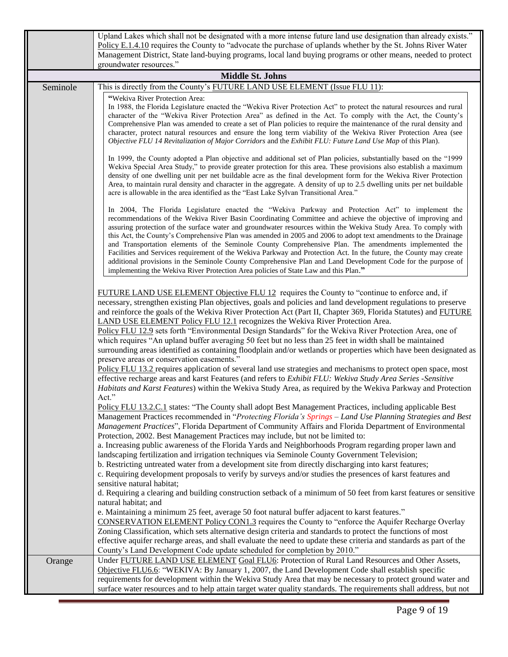|          | Upland Lakes which shall not be designated with a more intense future land use designation than already exists."<br>Policy E.1.4.10 requires the County to "advocate the purchase of uplands whether by the St. Johns River Water<br>Management District, State land-buying programs, local land buying programs or other means, needed to protect<br>groundwater resources."                                                                                                                                                                                                                                                                                                                                                                                                                                                                                                                                                                                                                                                                                                                                                                                                                                                                                                                                                                                          |
|----------|------------------------------------------------------------------------------------------------------------------------------------------------------------------------------------------------------------------------------------------------------------------------------------------------------------------------------------------------------------------------------------------------------------------------------------------------------------------------------------------------------------------------------------------------------------------------------------------------------------------------------------------------------------------------------------------------------------------------------------------------------------------------------------------------------------------------------------------------------------------------------------------------------------------------------------------------------------------------------------------------------------------------------------------------------------------------------------------------------------------------------------------------------------------------------------------------------------------------------------------------------------------------------------------------------------------------------------------------------------------------|
|          | <b>Middle St. Johns</b>                                                                                                                                                                                                                                                                                                                                                                                                                                                                                                                                                                                                                                                                                                                                                                                                                                                                                                                                                                                                                                                                                                                                                                                                                                                                                                                                                |
| Seminole | This is directly from the County's FUTURE LAND USE ELEMENT (Issue FLU 11):                                                                                                                                                                                                                                                                                                                                                                                                                                                                                                                                                                                                                                                                                                                                                                                                                                                                                                                                                                                                                                                                                                                                                                                                                                                                                             |
|          | "Wekiva River Protection Area:<br>In 1988, the Florida Legislature enacted the "Wekiva River Protection Act" to protect the natural resources and rural<br>character of the "Wekiva River Protection Area" as defined in the Act. To comply with the Act, the County's<br>Comprehensive Plan was amended to create a set of Plan policies to require the maintenance of the rural density and<br>character, protect natural resources and ensure the long term viability of the Wekiva River Protection Area (see<br>Objective FLU 14 Revitalization of Major Corridors and the Exhibit FLU: Future Land Use Map of this Plan).                                                                                                                                                                                                                                                                                                                                                                                                                                                                                                                                                                                                                                                                                                                                        |
|          | In 1999, the County adopted a Plan objective and additional set of Plan policies, substantially based on the "1999<br>Wekiva Special Area Study," to provide greater protection for this area. These provisions also establish a maximum<br>density of one dwelling unit per net buildable acre as the final development form for the Wekiva River Protection<br>Area, to maintain rural density and character in the aggregate. A density of up to 2.5 dwelling units per net buildable<br>acre is allowable in the area identified as the "East Lake Sylvan Transitional Area."                                                                                                                                                                                                                                                                                                                                                                                                                                                                                                                                                                                                                                                                                                                                                                                      |
|          | In 2004, The Florida Legislature enacted the "Wekiva Parkway and Protection Act" to implement the<br>recommendations of the Wekiva River Basin Coordinating Committee and achieve the objective of improving and<br>assuring protection of the surface water and groundwater resources within the Wekiva Study Area. To comply with<br>this Act, the County's Comprehensive Plan was amended in 2005 and 2006 to adopt text amendments to the Drainage<br>and Transportation elements of the Seminole County Comprehensive Plan. The amendments implemented the<br>Facilities and Services requirement of the Wekiva Parkway and Protection Act. In the future, the County may create<br>additional provisions in the Seminole County Comprehensive Plan and Land Development Code for the purpose of<br>implementing the Wekiva River Protection Area policies of State Law and this Plan."                                                                                                                                                                                                                                                                                                                                                                                                                                                                           |
|          | FUTURE LAND USE ELEMENT Objective FLU 12 requires the County to "continue to enforce and, if<br>necessary, strengthen existing Plan objectives, goals and policies and land development regulations to preserve<br>and reinforce the goals of the Wekiva River Protection Act (Part II, Chapter 369, Florida Statutes) and FUTURE<br><b>LAND USE ELEMENT Policy FLU 12.1</b> recognizes the Wekiva River Protection Area.<br>Policy FLU 12.9 sets forth "Environmental Design Standards" for the Wekiva River Protection Area, one of<br>which requires "An upland buffer averaging 50 feet but no less than 25 feet in width shall be maintained<br>surrounding areas identified as containing floodplain and/or wetlands or properties which have been designated as<br>preserve areas or conservation easements."<br>Policy FLU 13.2 requires application of several land use strategies and mechanisms to protect open space, most<br>effective recharge areas and karst Features (and refers to Exhibit FLU: Wekiva Study Area Series -Sensitive<br>Habitats and Karst Features) within the Wekiva Study Area, as required by the Wekiva Parkway and Protection                                                                                                                                                                                                   |
|          | Act."<br>Policy FLU 13.2.C.1 states: "The County shall adopt Best Management Practices, including applicable Best<br>Management Practices recommended in "Protecting Florida's Springs - Land Use Planning Strategies and Best<br>Management Practices", Florida Department of Community Affairs and Florida Department of Environmental<br>Protection, 2002. Best Management Practices may include, but not be limited to:<br>a. Increasing public awareness of the Florida Yards and Neighborhoods Program regarding proper lawn and<br>landscaping fertilization and irrigation techniques via Seminole County Government Television;<br>b. Restricting untreated water from a development site from directly discharging into karst features;<br>c. Requiring development proposals to verify by surveys and/or studies the presences of karst features and<br>sensitive natural habitat;<br>d. Requiring a clearing and building construction setback of a minimum of 50 feet from karst features or sensitive<br>natural habitat; and<br>e. Maintaining a minimum 25 feet, average 50 foot natural buffer adjacent to karst features."<br><b>CONSERVATION ELEMENT Policy CON1.3</b> requires the County to "enforce the Aquifer Recharge Overlay<br>Zoning Classification, which sets alternative design criteria and standards to protect the functions of most |
|          | effective aquifer recharge areas, and shall evaluate the need to update these criteria and standards as part of the<br>County's Land Development Code update scheduled for completion by 2010."                                                                                                                                                                                                                                                                                                                                                                                                                                                                                                                                                                                                                                                                                                                                                                                                                                                                                                                                                                                                                                                                                                                                                                        |
| Orange   | Under FUTURE LAND USE ELEMENT Goal FLU6: Protection of Rural Land Resources and Other Assets,<br>Objective FLU6.6: "WEKIVA: By January 1, 2007, the Land Development Code shall establish specific<br>requirements for development within the Wekiva Study Area that may be necessary to protect ground water and<br>surface water resources and to help attain target water quality standards. The requirements shall address, but not                                                                                                                                                                                                                                                                                                                                                                                                                                                                                                                                                                                                                                                                                                                                                                                                                                                                                                                                |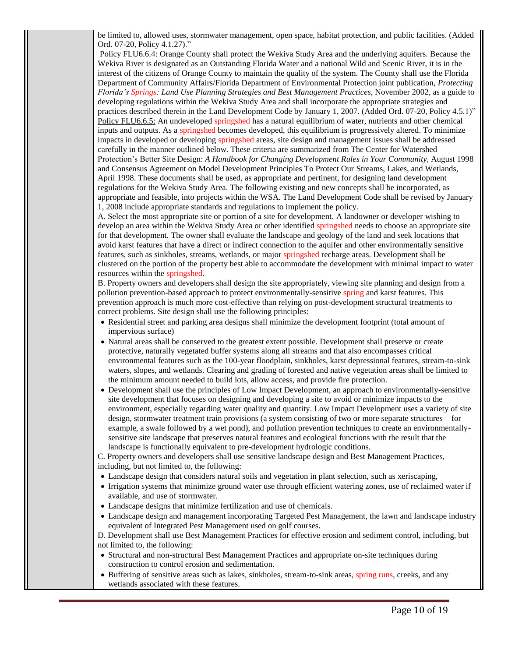be limited to, allowed uses, stormwater management, open space, habitat protection, and public facilities. (Added Ord. 07-20, Policy 4.1.27)."

Policy FLU6.6.4: Orange County shall protect the Wekiva Study Area and the underlying aquifers. Because the Wekiva River is designated as an Outstanding Florida Water and a national Wild and Scenic River, it is in the interest of the citizens of Orange County to maintain the quality of the system. The County shall use the Florida Department of Community Affairs/Florida Department of Environmental Protection joint publication, *Protecting Florida's Springs: Land Use Planning Strategies and Best Management Practices*, November 2002, as a guide to developing regulations within the Wekiva Study Area and shall incorporate the appropriate strategies and practices described therein in the Land Development Code by January 1, 2007. (Added Ord. 07-20, Policy 4.5.1)" Policy FLU6.6.5: An undeveloped springshed has a natural equilibrium of water, nutrients and other chemical inputs and outputs. As a springshed becomes developed, this equilibrium is progressively altered. To minimize impacts in developed or developing springshed areas, site design and management issues shall be addressed carefully in the manner outlined below. These criteria are summarized from The Center for Watershed Protection's Better Site Design: *A Handbook for Changing Development Rules in Your Community*, August 1998 and Consensus Agreement on Model Development Principles To Protect Our Streams, Lakes, and Wetlands, April 1998. These documents shall be used, as appropriate and pertinent, for designing land development regulations for the Wekiva Study Area. The following existing and new concepts shall be incorporated, as appropriate and feasible, into projects within the WSA. The Land Development Code shall be revised by January 1, 2008 include appropriate standards and regulations to implement the policy.

A. Select the most appropriate site or portion of a site for development. A landowner or developer wishing to develop an area within the Wekiva Study Area or other identified springshed needs to choose an appropriate site for that development. The owner shall evaluate the landscape and geology of the land and seek locations that avoid karst features that have a direct or indirect connection to the aquifer and other environmentally sensitive features, such as sinkholes, streams, wetlands, or major springshed recharge areas. Development shall be clustered on the portion of the property best able to accommodate the development with minimal impact to water resources within the springshed.

B. Property owners and developers shall design the site appropriately, viewing site planning and design from a pollution prevention-based approach to protect environmentally-sensitive spring and karst features. This prevention approach is much more cost-effective than relying on post-development structural treatments to correct problems. Site design shall use the following principles:

- Residential street and parking area designs shall minimize the development footprint (total amount of impervious surface)
- Natural areas shall be conserved to the greatest extent possible. Development shall preserve or create protective, naturally vegetated buffer systems along all streams and that also encompasses critical environmental features such as the 100-year floodplain, sinkholes, karst depressional features, stream-to-sink waters, slopes, and wetlands. Clearing and grading of forested and native vegetation areas shall be limited to the minimum amount needed to build lots, allow access, and provide fire protection.
- Development shall use the principles of Low Impact Development, an approach to environmentally-sensitive site development that focuses on designing and developing a site to avoid or minimize impacts to the environment, especially regarding water quality and quantity. Low Impact Development uses a variety of site design, stormwater treatment train provisions (a system consisting of two or more separate structures—for example, a swale followed by a wet pond), and pollution prevention techniques to create an environmentallysensitive site landscape that preserves natural features and ecological functions with the result that the landscape is functionally equivalent to pre-development hydrologic conditions.

C. Property owners and developers shall use sensitive landscape design and Best Management Practices, including, but not limited to, the following:

- Landscape design that considers natural soils and vegetation in plant selection, such as xeriscaping,
- Irrigation systems that minimize ground water use through efficient watering zones, use of reclaimed water if available, and use of stormwater.
- Landscape designs that minimize fertilization and use of chemicals.
- Landscape design and management incorporating Targeted Pest Management, the lawn and landscape industry equivalent of Integrated Pest Management used on golf courses.

D. Development shall use Best Management Practices for effective erosion and sediment control, including, but not limited to, the following:

- Structural and non-structural Best Management Practices and appropriate on-site techniques during construction to control erosion and sedimentation.
- Buffering of sensitive areas such as lakes, sinkholes, stream-to-sink areas, spring runs, creeks, and any wetlands associated with these features.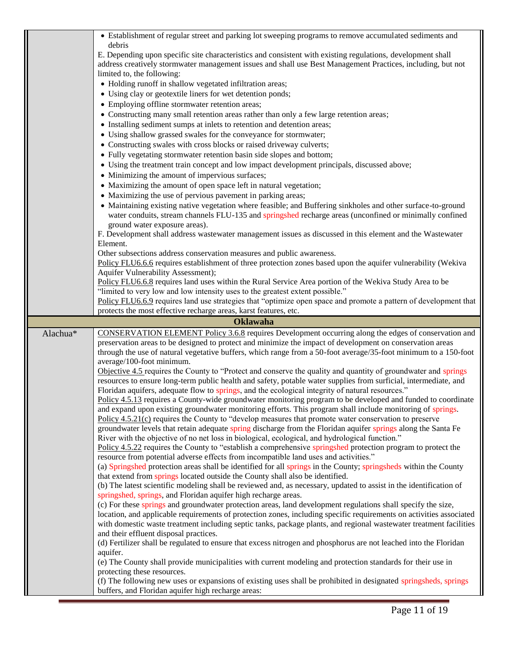|          | • Establishment of regular street and parking lot sweeping programs to remove accumulated sediments and                                                                                             |
|----------|-----------------------------------------------------------------------------------------------------------------------------------------------------------------------------------------------------|
|          | debris                                                                                                                                                                                              |
|          | E. Depending upon specific site characteristics and consistent with existing regulations, development shall                                                                                         |
|          | address creatively stormwater management issues and shall use Best Management Practices, including, but not                                                                                         |
|          | limited to, the following:                                                                                                                                                                          |
|          | • Holding runoff in shallow vegetated infiltration areas;                                                                                                                                           |
|          | • Using clay or geotextile liners for wet detention ponds;                                                                                                                                          |
|          | • Employing offline stormwater retention areas;                                                                                                                                                     |
|          | • Constructing many small retention areas rather than only a few large retention areas;                                                                                                             |
|          | • Installing sediment sumps at inlets to retention and detention areas;                                                                                                                             |
|          | • Using shallow grassed swales for the conveyance for stormwater;                                                                                                                                   |
|          | • Constructing swales with cross blocks or raised driveway culverts;                                                                                                                                |
|          | • Fully vegetating stormwater retention basin side slopes and bottom;                                                                                                                               |
|          | • Using the treatment train concept and low impact development principals, discussed above;                                                                                                         |
|          | • Minimizing the amount of impervious surfaces;                                                                                                                                                     |
|          | • Maximizing the amount of open space left in natural vegetation;                                                                                                                                   |
|          | • Maximizing the use of pervious pavement in parking areas;                                                                                                                                         |
|          | • Maintaining existing native vegetation where feasible; and Buffering sinkholes and other surface-to-ground                                                                                        |
|          | water conduits, stream channels FLU-135 and springshed recharge areas (unconfined or minimally confined                                                                                             |
|          | ground water exposure areas).                                                                                                                                                                       |
|          | F. Development shall address wastewater management issues as discussed in this element and the Wastewater                                                                                           |
|          | Element.                                                                                                                                                                                            |
|          | Other subsections address conservation measures and public awareness.                                                                                                                               |
|          | Policy FLU6.6.6 requires establishment of three protection zones based upon the aquifer vulnerability (Wekiva                                                                                       |
|          | Aquifer Vulnerability Assessment);                                                                                                                                                                  |
|          | Policy FLU6.6.8 requires land uses within the Rural Service Area portion of the Wekiva Study Area to be                                                                                             |
|          | "limited to very low and low intensity uses to the greatest extent possible."                                                                                                                       |
|          | Policy FLU6.6.9 requires land use strategies that "optimize open space and promote a pattern of development that                                                                                    |
|          | protects the most effective recharge areas, karst features, etc.                                                                                                                                    |
|          |                                                                                                                                                                                                     |
|          | <b>Oklawaha</b>                                                                                                                                                                                     |
| Alachua* | CONSERVATION ELEMENT Policy 3.6.8 requires Development occurring along the edges of conservation and                                                                                                |
|          | preservation areas to be designed to protect and minimize the impact of development on conservation areas                                                                                           |
|          | through the use of natural vegetative buffers, which range from a 50-foot average/35-foot minimum to a 150-foot                                                                                     |
|          | average/100-foot minimum.                                                                                                                                                                           |
|          | Objective 4.5 requires the County to "Protect and conserve the quality and quantity of groundwater and springs                                                                                      |
|          | resources to ensure long-term public health and safety, potable water supplies from surficial, intermediate, and                                                                                    |
|          | Floridan aquifers, adequate flow to springs, and the ecological integrity of natural resources."                                                                                                    |
|          | Policy 4.5.13 requires a County-wide groundwater monitoring program to be developed and funded to coordinate                                                                                        |
|          | and expand upon existing groundwater monitoring efforts. This program shall include monitoring of springs.                                                                                          |
|          | Policy 4.5.21(c) requires the County to "develop measures that promote water conservation to preserve                                                                                               |
|          | groundwater levels that retain adequate spring discharge from the Floridan aquifer springs along the Santa Fe                                                                                       |
|          | River with the objective of no net loss in biological, ecological, and hydrological function."                                                                                                      |
|          | Policy 4.5.22 requires the County to "establish a comprehensive springshed protection program to protect the                                                                                        |
|          | resource from potential adverse effects from incompatible land uses and activities."                                                                                                                |
|          | (a) Springshed protection areas shall be identified for all springs in the County; springsheds within the County                                                                                    |
|          | that extend from springs located outside the County shall also be identified.<br>(b) The latest scientific modeling shall be reviewed and, as necessary, updated to assist in the identification of |
|          | springshed, springs, and Floridan aquifer high recharge areas.                                                                                                                                      |
|          | (c) For these springs and groundwater protection areas, land development regulations shall specify the size,                                                                                        |
|          | location, and applicable requirements of protection zones, including specific requirements on activities associated                                                                                 |
|          | with domestic waste treatment including septic tanks, package plants, and regional wastewater treatment facilities                                                                                  |
|          | and their effluent disposal practices.                                                                                                                                                              |
|          | (d) Fertilizer shall be regulated to ensure that excess nitrogen and phosphorus are not leached into the Floridan                                                                                   |
|          | aquifer.                                                                                                                                                                                            |
|          | (e) The County shall provide municipalities with current modeling and protection standards for their use in                                                                                         |
|          | protecting these resources.                                                                                                                                                                         |
|          | (f) The following new uses or expansions of existing uses shall be prohibited in designated springsheds, springs<br>buffers, and Floridan aquifer high recharge areas:                              |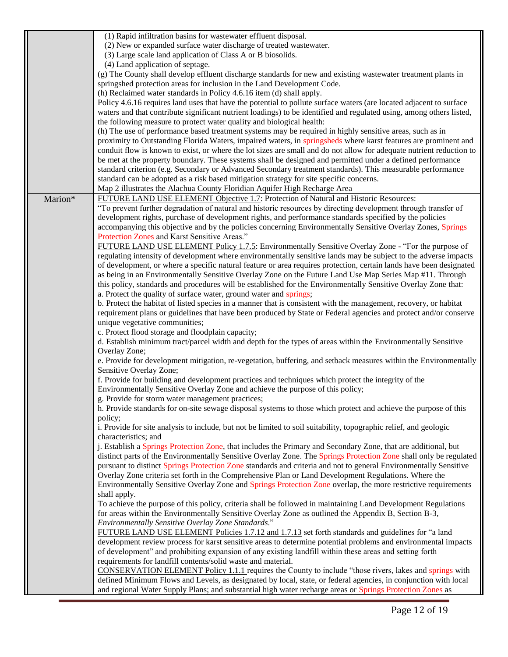|         | (1) Rapid infiltration basins for wastewater effluent disposal.                                                                                                                                                                       |
|---------|---------------------------------------------------------------------------------------------------------------------------------------------------------------------------------------------------------------------------------------|
|         | (2) New or expanded surface water discharge of treated wastewater.                                                                                                                                                                    |
|         | (3) Large scale land application of Class A or B biosolids.                                                                                                                                                                           |
|         | (4) Land application of septage.                                                                                                                                                                                                      |
|         | (g) The County shall develop effluent discharge standards for new and existing wastewater treatment plants in                                                                                                                         |
|         | springshed protection areas for inclusion in the Land Development Code.                                                                                                                                                               |
|         | (h) Reclaimed water standards in Policy 4.6.16 item (d) shall apply.                                                                                                                                                                  |
|         | Policy 4.6.16 requires land uses that have the potential to pollute surface waters (are located adjacent to surface                                                                                                                   |
|         | waters and that contribute significant nutrient loadings) to be identified and regulated using, among others listed,                                                                                                                  |
|         | the following measure to protect water quality and biological health:                                                                                                                                                                 |
|         | (h) The use of performance based treatment systems may be required in highly sensitive areas, such as in                                                                                                                              |
|         | proximity to Outstanding Florida Waters, impaired waters, in springsheds where karst features are prominent and                                                                                                                       |
|         | conduit flow is known to exist, or where the lot sizes are small and do not allow for adequate nutrient reduction to                                                                                                                  |
|         | be met at the property boundary. These systems shall be designed and permitted under a defined performance<br>standard criterion (e.g. Secondary or Advanced Secondary treatment standards). This measurable performance              |
|         | standard can be adopted as a risk based mitigation strategy for site specific concerns.                                                                                                                                               |
|         | Map 2 illustrates the Alachua County Floridian Aquifer High Recharge Area                                                                                                                                                             |
| Marion* | FUTURE LAND USE ELEMENT Objective 1.7: Protection of Natural and Historic Resources:                                                                                                                                                  |
|         | "To prevent further degradation of natural and historic resources by directing development through transfer of                                                                                                                        |
|         | development rights, purchase of development rights, and performance standards specified by the policies                                                                                                                               |
|         | accompanying this objective and by the policies concerning Environmentally Sensitive Overlay Zones, Springs                                                                                                                           |
|         | Protection Zones and Karst Sensitive Areas."                                                                                                                                                                                          |
|         | FUTURE LAND USE ELEMENT Policy 1.7.5: Environmentally Sensitive Overlay Zone - "For the purpose of                                                                                                                                    |
|         | regulating intensity of development where environmentally sensitive lands may be subject to the adverse impacts                                                                                                                       |
|         | of development, or where a specific natural feature or area requires protection, certain lands have been designated                                                                                                                   |
|         | as being in an Environmentally Sensitive Overlay Zone on the Future Land Use Map Series Map #11. Through                                                                                                                              |
|         | this policy, standards and procedures will be established for the Environmentally Sensitive Overlay Zone that:                                                                                                                        |
|         | a. Protect the quality of surface water, ground water and springs;                                                                                                                                                                    |
|         | b. Protect the habitat of listed species in a manner that is consistent with the management, recovery, or habitat<br>requirement plans or guidelines that have been produced by State or Federal agencies and protect and/or conserve |
|         | unique vegetative communities;                                                                                                                                                                                                        |
|         | c. Protect flood storage and floodplain capacity;                                                                                                                                                                                     |
|         | d. Establish minimum tract/parcel width and depth for the types of areas within the Environmentally Sensitive                                                                                                                         |
|         | Overlay Zone;                                                                                                                                                                                                                         |
|         | e. Provide for development mitigation, re-vegetation, buffering, and setback measures within the Environmentally                                                                                                                      |
|         | Sensitive Overlay Zone;                                                                                                                                                                                                               |
|         | f. Provide for building and development practices and techniques which protect the integrity of the                                                                                                                                   |
|         | Environmentally Sensitive Overlay Zone and achieve the purpose of this policy;                                                                                                                                                        |
|         | g. Provide for storm water management practices;                                                                                                                                                                                      |
|         | h. Provide standards for on-site sewage disposal systems to those which protect and achieve the purpose of this                                                                                                                       |
|         | policy;                                                                                                                                                                                                                               |
|         | i. Provide for site analysis to include, but not be limited to soil suitability, topographic relief, and geologic<br>characteristics; and                                                                                             |
|         | j. Establish a Springs Protection Zone, that includes the Primary and Secondary Zone, that are additional, but                                                                                                                        |
|         | distinct parts of the Environmentally Sensitive Overlay Zone. The Springs Protection Zone shall only be regulated                                                                                                                     |
|         | pursuant to distinct Springs Protection Zone standards and criteria and not to general Environmentally Sensitive                                                                                                                      |
|         | Overlay Zone criteria set forth in the Comprehensive Plan or Land Development Regulations. Where the                                                                                                                                  |
|         | Environmentally Sensitive Overlay Zone and Springs Protection Zone overlap, the more restrictive requirements                                                                                                                         |
|         | shall apply.                                                                                                                                                                                                                          |
|         | To achieve the purpose of this policy, criteria shall be followed in maintaining Land Development Regulations                                                                                                                         |
|         | for areas within the Environmentally Sensitive Overlay Zone as outlined the Appendix B, Section B-3,                                                                                                                                  |
|         | Environmentally Sensitive Overlay Zone Standards."                                                                                                                                                                                    |
|         | FUTURE LAND USE ELEMENT Policies 1.7.12 and 1.7.13 set forth standards and guidelines for "a land                                                                                                                                     |
|         | development review process for karst sensitive areas to determine potential problems and environmental impacts                                                                                                                        |
|         | of development" and prohibiting expansion of any existing landfill within these areas and setting forth                                                                                                                               |
|         | requirements for landfill contents/solid waste and material.                                                                                                                                                                          |
|         | <b>CONSERVATION ELEMENT Policy 1.1.1</b> requires the County to include "those rivers, lakes and springs with                                                                                                                         |
|         | defined Minimum Flows and Levels, as designated by local, state, or federal agencies, in conjunction with local<br>and regional Water Supply Plans; and substantial high water recharge areas or Springs Protection Zones as          |
|         |                                                                                                                                                                                                                                       |
|         |                                                                                                                                                                                                                                       |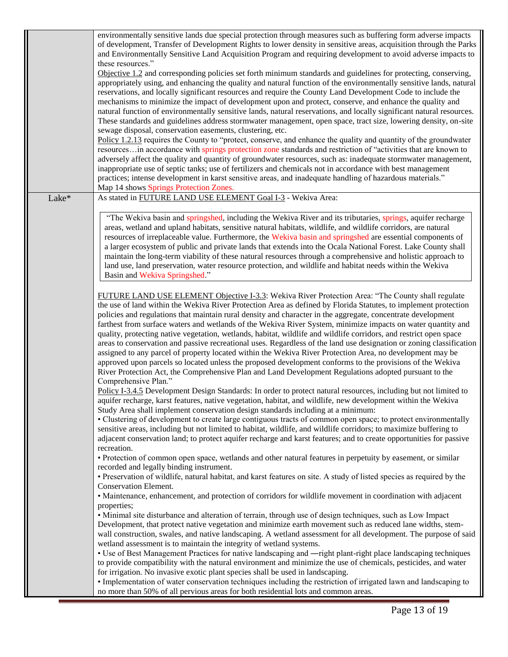|       | Page 13 of 19                                                                                                                                                                                                                                                                                                                                                                                                                                                                                                                                                                                                                                                                                                                                                                                                                                                                                                                                                                                                                                                                                                                                                                                                                                                                                                                                                                                                                                                                                                                                                                                                                                                                                                                                                                                                                                                                                                                                                                                                                    |
|-------|----------------------------------------------------------------------------------------------------------------------------------------------------------------------------------------------------------------------------------------------------------------------------------------------------------------------------------------------------------------------------------------------------------------------------------------------------------------------------------------------------------------------------------------------------------------------------------------------------------------------------------------------------------------------------------------------------------------------------------------------------------------------------------------------------------------------------------------------------------------------------------------------------------------------------------------------------------------------------------------------------------------------------------------------------------------------------------------------------------------------------------------------------------------------------------------------------------------------------------------------------------------------------------------------------------------------------------------------------------------------------------------------------------------------------------------------------------------------------------------------------------------------------------------------------------------------------------------------------------------------------------------------------------------------------------------------------------------------------------------------------------------------------------------------------------------------------------------------------------------------------------------------------------------------------------------------------------------------------------------------------------------------------------|
|       | • Protection of common open space, wetlands and other natural features in perpetuity by easement, or similar<br>recorded and legally binding instrument.<br>• Preservation of wildlife, natural habitat, and karst features on site. A study of listed species as required by the<br>Conservation Element.<br>• Maintenance, enhancement, and protection of corridors for wildlife movement in coordination with adjacent<br>properties;<br>• Minimal site disturbance and alteration of terrain, through use of design techniques, such as Low Impact<br>Development, that protect native vegetation and minimize earth movement such as reduced lane widths, stem-<br>wall construction, swales, and native landscaping. A wetland assessment for all development. The purpose of said<br>wetland assessment is to maintain the integrity of wetland systems.<br>• Use of Best Management Practices for native landscaping and —right plant-right place landscaping techniques<br>to provide compatibility with the natural environment and minimize the use of chemicals, pesticides, and water<br>for irrigation. No invasive exotic plant species shall be used in landscaping.<br>• Implementation of water conservation techniques including the restriction of irrigated lawn and landscaping to<br>no more than 50% of all pervious areas for both residential lots and common areas.                                                                                                                                                                                                                                                                                                                                                                                                                                                                                                                                                                                                                                   |
|       | maintain the long-term viability of these natural resources through a comprehensive and holistic approach to<br>land use, land preservation, water resource protection, and wildlife and habitat needs within the Wekiva<br>Basin and Wekiva Springshed."<br>FUTURE LAND USE ELEMENT Objective I-3.3: Wekiva River Protection Area: "The County shall regulate<br>the use of land within the Wekiva River Protection Area as defined by Florida Statutes, to implement protection<br>policies and regulations that maintain rural density and character in the aggregate, concentrate development<br>farthest from surface waters and wetlands of the Wekiva River System, minimize impacts on water quantity and<br>quality, protecting native vegetation, wetlands, habitat, wildlife and wildlife corridors, and restrict open space<br>areas to conservation and passive recreational uses. Regardless of the land use designation or zoning classification<br>assigned to any parcel of property located within the Wekiva River Protection Area, no development may be<br>approved upon parcels so located unless the proposed development conforms to the provisions of the Wekiva<br>River Protection Act, the Comprehensive Plan and Land Development Regulations adopted pursuant to the<br>Comprehensive Plan."<br>Policy I-3.4.5 Development Design Standards: In order to protect natural resources, including but not limited to<br>aquifer recharge, karst features, native vegetation, habitat, and wildlife, new development within the Wekiva<br>Study Area shall implement conservation design standards including at a minimum:<br>• Clustering of development to create large contiguous tracts of common open space; to protect environmentally<br>sensitive areas, including but not limited to habitat, wildlife, and wildlife corridors; to maximize buffering to<br>adjacent conservation land; to protect aquifer recharge and karst features; and to create opportunities for passive<br>recreation. |
| Lake* | As stated in FUTURE LAND USE ELEMENT Goal I-3 - Wekiva Area:<br>"The Wekiva basin and springshed, including the Wekiva River and its tributaries, springs, aquifer recharge<br>areas, wetland and upland habitats, sensitive natural habitats, wildlife, and wildlife corridors, are natural<br>resources of irreplaceable value. Furthermore, the Wekiva basin and springshed are essential components of<br>a larger ecosystem of public and private lands that extends into the Ocala National Forest. Lake County shall                                                                                                                                                                                                                                                                                                                                                                                                                                                                                                                                                                                                                                                                                                                                                                                                                                                                                                                                                                                                                                                                                                                                                                                                                                                                                                                                                                                                                                                                                                      |
|       | environmentally sensitive lands due special protection through measures such as buffering form adverse impacts<br>of development, Transfer of Development Rights to lower density in sensitive areas, acquisition through the Parks<br>and Environmentally Sensitive Land Acquisition Program and requiring development to avoid adverse impacts to<br>these resources."<br>Objective 1.2 and corresponding policies set forth minimum standards and guidelines for protecting, conserving,<br>appropriately using, and enhancing the quality and natural function of the environmentally sensitive lands, natural<br>reservations, and locally significant resources and require the County Land Development Code to include the<br>mechanisms to minimize the impact of development upon and protect, conserve, and enhance the quality and<br>natural function of environmentally sensitive lands, natural reservations, and locally significant natural resources.<br>These standards and guidelines address stormwater management, open space, tract size, lowering density, on-site<br>sewage disposal, conservation easements, clustering, etc.<br>Policy 1.2.13 requires the County to "protect, conserve, and enhance the quality and quantity of the groundwater<br>resourcesin accordance with springs protection zone standards and restriction of "activities that are known to<br>adversely affect the quality and quantity of groundwater resources, such as: inadequate stormwater management,<br>inappropriate use of septic tanks; use of fertilizers and chemicals not in accordance with best management<br>practices; intense development in karst sensitive areas, and inadequate handling of hazardous materials."<br>Map 14 shows Springs Protection Zones.                                                                                                                                                                                                                                              |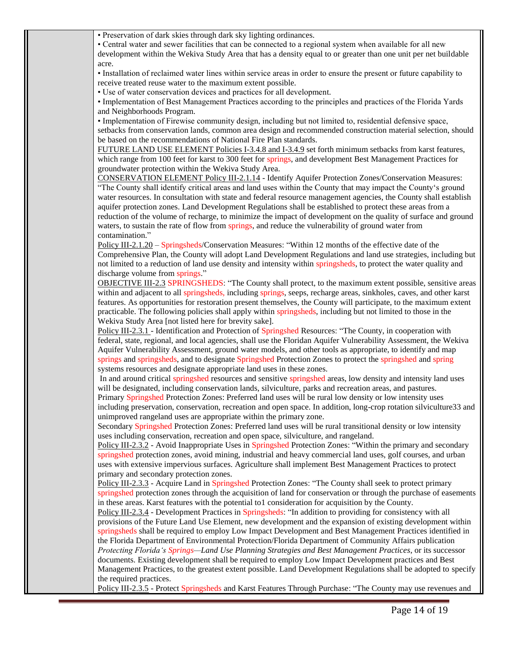• Preservation of dark skies through dark sky lighting ordinances.

• Central water and sewer facilities that can be connected to a regional system when available for all new development within the Wekiva Study Area that has a density equal to or greater than one unit per net buildable acre.

• Installation of reclaimed water lines within service areas in order to ensure the present or future capability to receive treated reuse water to the maximum extent possible.

• Use of water conservation devices and practices for all development.

• Implementation of Best Management Practices according to the principles and practices of the Florida Yards and Neighborhoods Program.

• Implementation of Firewise community design, including but not limited to, residential defensive space, setbacks from conservation lands, common area design and recommended construction material selection, should be based on the recommendations of National Fire Plan standards.

FUTURE LAND USE ELEMENT Policies I-3.4.8 and I-3.4.9 set forth minimum setbacks from karst features, which range from 100 feet for karst to 300 feet for springs, and development Best Management Practices for groundwater protection within the Wekiva Study Area.

CONSERVATION ELEMENT Policy III-2.1.14 - Identify Aquifer Protection Zones/Conservation Measures: "The County shall identify critical areas and land uses within the County that may impact the County's ground water resources. In consultation with state and federal resource management agencies, the County shall establish aquifer protection zones. Land Development Regulations shall be established to protect these areas from a reduction of the volume of recharge, to minimize the impact of development on the quality of surface and ground waters, to sustain the rate of flow from springs, and reduce the vulnerability of ground water from contamination."

Policy III-2.1.20 – Springsheds/Conservation Measures: "Within 12 months of the effective date of the Comprehensive Plan, the County will adopt Land Development Regulations and land use strategies, including but not limited to a reduction of land use density and intensity within springsheds, to protect the water quality and discharge volume from springs."

OBJECTIVE III-2.3 SPRINGSHEDS: "The County shall protect, to the maximum extent possible, sensitive areas within and adjacent to all springsheds, including springs, seeps, recharge areas, sinkholes, caves, and other karst features. As opportunities for restoration present themselves, the County will participate, to the maximum extent practicable. The following policies shall apply within springsheds, including but not limited to those in the Wekiva Study Area [not listed here for brevity sake].

Policy III-2.3.1 - Identification and Protection of Springshed Resources: "The County, in cooperation with federal, state, regional, and local agencies, shall use the Floridan Aquifer Vulnerability Assessment, the Wekiva Aquifer Vulnerability Assessment, ground water models, and other tools as appropriate, to identify and map springs and springsheds, and to designate Springshed Protection Zones to protect the springshed and spring systems resources and designate appropriate land uses in these zones.

In and around critical springshed resources and sensitive springshed areas, low density and intensity land uses will be designated, including conservation lands, silviculture, parks and recreation areas, and pastures.

Primary Springshed Protection Zones: Preferred land uses will be rural low density or low intensity uses including preservation, conservation, recreation and open space. In addition, long-crop rotation silviculture33 and unimproved rangeland uses are appropriate within the primary zone.

Secondary Springshed Protection Zones: Preferred land uses will be rural transitional density or low intensity uses including conservation, recreation and open space, silviculture, and rangeland.

Policy III-2.3.2 - Avoid Inappropriate Uses in Springshed Protection Zones: "Within the primary and secondary springshed protection zones, avoid mining, industrial and heavy commercial land uses, golf courses, and urban uses with extensive impervious surfaces. Agriculture shall implement Best Management Practices to protect primary and secondary protection zones.

Policy III-2.3.3 - Acquire Land in Springshed Protection Zones: "The County shall seek to protect primary springshed protection zones through the acquisition of land for conservation or through the purchase of easements in these areas. Karst features with the potential to1 consideration for acquisition by the County.

Policy III-2.3.4 - Development Practices in Springsheds: "In addition to providing for consistency with all provisions of the Future Land Use Element, new development and the expansion of existing development within springsheds shall be required to employ Low Impact Development and Best Management Practices identified in the Florida Department of Environmental Protection/Florida Department of Community Affairs publication *Protecting Florida's Springs—Land Use Planning Strategies and Best Management Practices*, or its successor documents. Existing development shall be required to employ Low Impact Development practices and Best

Management Practices, to the greatest extent possible. Land Development Regulations shall be adopted to specify the required practices.

Policy III-2.3.5 - Protect Springsheds and Karst Features Through Purchase: "The County may use revenues and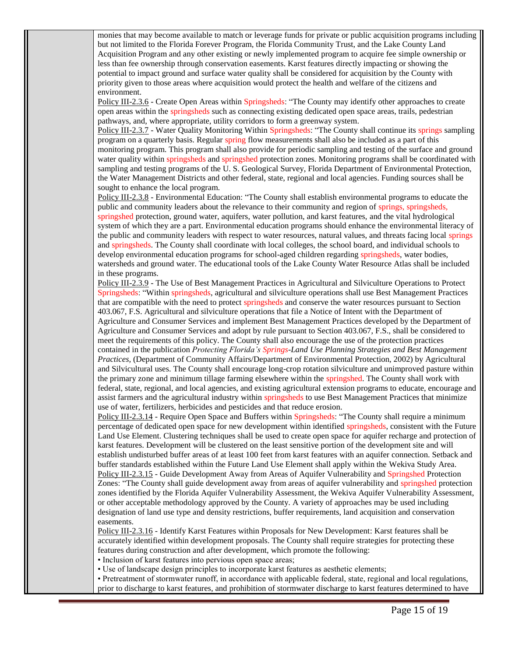monies that may become available to match or leverage funds for private or public acquisition programs including but not limited to the Florida Forever Program, the Florida Community Trust, and the Lake County Land Acquisition Program and any other existing or newly implemented program to acquire fee simple ownership or less than fee ownership through conservation easements. Karst features directly impacting or showing the potential to impact ground and surface water quality shall be considered for acquisition by the County with priority given to those areas where acquisition would protect the health and welfare of the citizens and environment.

Policy III-2.3.6 - Create Open Areas within Springsheds: "The County may identify other approaches to create open areas within the springsheds such as connecting existing dedicated open space areas, trails, pedestrian pathways, and, where appropriate, utility corridors to form a greenway system.

Policy III-2.3.7 - Water Quality Monitoring Within Springsheds: "The County shall continue its springs sampling program on a quarterly basis. Regular spring flow measurements shall also be included as a part of this monitoring program. This program shall also provide for periodic sampling and testing of the surface and ground water quality within springsheds and springshed protection zones. Monitoring programs shall be coordinated with sampling and testing programs of the U. S. Geological Survey, Florida Department of Environmental Protection, the Water Management Districts and other federal, state, regional and local agencies. Funding sources shall be sought to enhance the local program.

Policy III-2.3.8 - Environmental Education: "The County shall establish environmental programs to educate the public and community leaders about the relevance to their community and region of springs, springsheds, springshed protection, ground water, aquifers, water pollution, and karst features, and the vital hydrological system of which they are a part. Environmental education programs should enhance the environmental literacy of the public and community leaders with respect to water resources, natural values, and threats facing local springs and springsheds. The County shall coordinate with local colleges, the school board, and individual schools to develop environmental education programs for school-aged children regarding springsheds, water bodies, watersheds and ground water. The educational tools of the Lake County Water Resource Atlas shall be included in these programs.

Policy III-2.3.9 - The Use of Best Management Practices in Agricultural and Silviculture Operations to Protect Springsheds: "Within springsheds, agricultural and silviculture operations shall use Best Management Practices that are compatible with the need to protect springsheds and conserve the water resources pursuant to Section 403.067, F.S. Agricultural and silviculture operations that file a Notice of Intent with the Department of Agriculture and Consumer Services and implement Best Management Practices developed by the Department of Agriculture and Consumer Services and adopt by rule pursuant to Section 403.067, F.S., shall be considered to meet the requirements of this policy. The County shall also encourage the use of the protection practices contained in the publication *Protecting Florida's Springs-Land Use Planning Strategies and Best Management Practices,* (Department of Community Affairs/Department of Environmental Protection, 2002) by Agricultural and Silvicultural uses. The County shall encourage long-crop rotation silviculture and unimproved pasture within the primary zone and minimum tillage farming elsewhere within the springshed. The County shall work with federal, state, regional, and local agencies, and existing agricultural extension programs to educate, encourage and assist farmers and the agricultural industry within springsheds to use Best Management Practices that minimize use of water, fertilizers, herbicides and pesticides and that reduce erosion.

Policy III-2.3.14 - Require Open Space and Buffers within Springsheds: "The County shall require a minimum percentage of dedicated open space for new development within identified springsheds, consistent with the Future Land Use Element. Clustering techniques shall be used to create open space for aquifer recharge and protection of karst features. Development will be clustered on the least sensitive portion of the development site and will establish undisturbed buffer areas of at least 100 feet from karst features with an aquifer connection. Setback and buffer standards established within the Future Land Use Element shall apply within the Wekiva Study Area. Policy III-2.3.15 - Guide Development Away from Areas of Aquifer Vulnerability and Springshed Protection Zones: "The County shall guide development away from areas of aquifer vulnerability and springshed protection zones identified by the Florida Aquifer Vulnerability Assessment, the Wekiva Aquifer Vulnerability Assessment, or other acceptable methodology approved by the County. A variety of approaches may be used including designation of land use type and density restrictions, buffer requirements, land acquisition and conservation easements.

Policy III-2.3.16 - Identify Karst Features within Proposals for New Development: Karst features shall be accurately identified within development proposals. The County shall require strategies for protecting these features during construction and after development, which promote the following:

• Inclusion of karst features into pervious open space areas;

• Use of landscape design principles to incorporate karst features as aesthetic elements;

• Pretreatment of stormwater runoff, in accordance with applicable federal, state, regional and local regulations, prior to discharge to karst features, and prohibition of stormwater discharge to karst features determined to have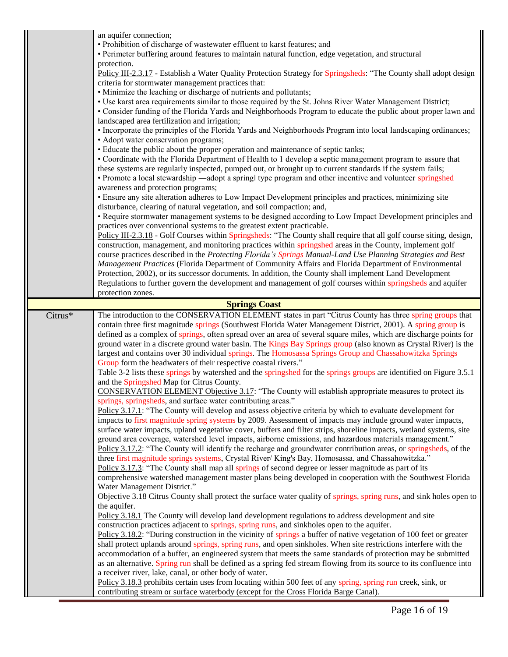|                      | an aquifer connection;<br>• Prohibition of discharge of wastewater effluent to karst features; and<br>• Perimeter buffering around features to maintain natural function, edge vegetation, and structural                                                                                                                                     |  |
|----------------------|-----------------------------------------------------------------------------------------------------------------------------------------------------------------------------------------------------------------------------------------------------------------------------------------------------------------------------------------------|--|
|                      | protection.<br>Policy III-2.3.17 - Establish a Water Quality Protection Strategy for Springsheds: "The County shall adopt design<br>criteria for stormwater management practices that:                                                                                                                                                        |  |
|                      | • Minimize the leaching or discharge of nutrients and pollutants;                                                                                                                                                                                                                                                                             |  |
|                      | • Use karst area requirements similar to those required by the St. Johns River Water Management District;<br>• Consider funding of the Florida Yards and Neighborhoods Program to educate the public about proper lawn and<br>landscaped area fertilization and irrigation;                                                                   |  |
|                      | • Incorporate the principles of the Florida Yards and Neighborhoods Program into local landscaping ordinances;<br>• Adopt water conservation programs;                                                                                                                                                                                        |  |
|                      | • Educate the public about the proper operation and maintenance of septic tanks;                                                                                                                                                                                                                                                              |  |
|                      | • Coordinate with the Florida Department of Health to 1 develop a septic management program to assure that<br>these systems are regularly inspected, pumped out, or brought up to current standards if the system fails;<br>• Promote a local stewardship —adopt a springl type program and other incentive and volunteer springshed          |  |
|                      | awareness and protection programs;                                                                                                                                                                                                                                                                                                            |  |
|                      | • Ensure any site alteration adheres to Low Impact Development principles and practices, minimizing site<br>disturbance, clearing of natural vegetation, and soil compaction; and,                                                                                                                                                            |  |
|                      | • Require stormwater management systems to be designed according to Low Impact Development principles and                                                                                                                                                                                                                                     |  |
|                      | practices over conventional systems to the greatest extent practicable.<br>Policy III-2.3.18 - Golf Courses within Springsheds: "The County shall require that all golf course siting, design,                                                                                                                                                |  |
|                      | construction, management, and monitoring practices within springshed areas in the County, implement golf                                                                                                                                                                                                                                      |  |
|                      | course practices described in the Protecting Florida's Springs Manual-Land Use Planning Strategies and Best<br>Management Practices (Florida Department of Community Affairs and Florida Department of Environmental                                                                                                                          |  |
|                      | Protection, 2002), or its successor documents. In addition, the County shall implement Land Development                                                                                                                                                                                                                                       |  |
|                      | Regulations to further govern the development and management of golf courses within springsheds and aquifer<br>protection zones.                                                                                                                                                                                                              |  |
| <b>Springs Coast</b> |                                                                                                                                                                                                                                                                                                                                               |  |
| Citrus*              | The introduction to the CONSERVATION ELEMENT states in part "Citrus County has three spring groups that<br>contain three first magnitude springs (Southwest Florida Water Management District, 2001). A spring group is<br>defined as a complex of springs, often spread over an area of several square miles, which are discharge points for |  |
|                      | ground water in a discrete ground water basin. The Kings Bay Springs group (also known as Crystal River) is the<br>largest and contains over 30 individual springs. The Homosassa Springs Group and Chassahowitzka Springs<br>Group form the headwaters of their respective coastal rivers."                                                  |  |
|                      | Table 3-2 lists these springs by watershed and the springshed for the springs groups are identified on Figure 3.5.1<br>and the Springshed Map for Citrus County.                                                                                                                                                                              |  |
|                      | CONSERVATION ELEMENT Objective 3.17: "The County will establish appropriate measures to protect its<br>springs, springsheds, and surface water contributing areas."                                                                                                                                                                           |  |
|                      | Policy 3.17.1: "The County will develop and assess objective criteria by which to evaluate development for<br>impacts to first magnitude spring systems by 2009. Assessment of impacts may include ground water impacts,                                                                                                                      |  |
|                      | surface water impacts, upland vegetative cover, buffers and filter strips, shoreline impacts, wetland systems, site                                                                                                                                                                                                                           |  |
|                      | ground area coverage, watershed level impacts, airborne emissions, and hazardous materials management."<br>Policy 3.17.2: "The County will identify the recharge and groundwater contribution areas, or springsheds, of the                                                                                                                   |  |
|                      | three first magnitude springs systems, Crystal River/King's Bay, Homosassa, and Chassahowitzka."<br>Policy 3.17.3: "The County shall map all springs of second degree or lesser magnitude as part of its                                                                                                                                      |  |
|                      | comprehensive watershed management master plans being developed in cooperation with the Southwest Florida                                                                                                                                                                                                                                     |  |
|                      | Water Management District."<br>Objective 3.18 Citrus County shall protect the surface water quality of springs, spring runs, and sink holes open to                                                                                                                                                                                           |  |
|                      | the aquifer.                                                                                                                                                                                                                                                                                                                                  |  |
|                      | Policy 3.18.1 The County will develop land development regulations to address development and site<br>construction practices adjacent to springs, spring runs, and sinkholes open to the aquifer.                                                                                                                                             |  |
|                      | Policy 3.18.2: "During construction in the vicinity of springs a buffer of native vegetation of 100 feet or greater                                                                                                                                                                                                                           |  |
|                      | shall protect uplands around springs, spring runs, and open sinkholes. When site restrictions interfere with the<br>accommodation of a buffer, an engineered system that meets the same standards of protection may be submitted                                                                                                              |  |
|                      | as an alternative. Spring run shall be defined as a spring fed stream flowing from its source to its confluence into                                                                                                                                                                                                                          |  |
|                      | a receiver river, lake, canal, or other body of water.                                                                                                                                                                                                                                                                                        |  |
|                      | Policy 3.18.3 prohibits certain uses from locating within 500 feet of any spring, spring run creek, sink, or<br>contributing stream or surface waterbody (except for the Cross Florida Barge Canal).                                                                                                                                          |  |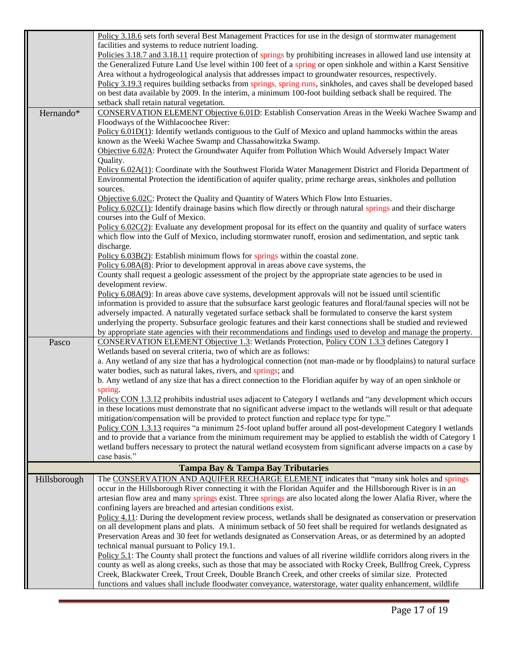|              | Policy 3.18.6 sets forth several Best Management Practices for use in the design of stormwater management               |
|--------------|-------------------------------------------------------------------------------------------------------------------------|
|              | facilities and systems to reduce nutrient loading.                                                                      |
|              | Policies 3.18.7 and 3.18.11 require protection of springs by prohibiting increases in allowed land use intensity at     |
|              | the Generalized Future Land Use level within 100 feet of a spring or open sinkhole and within a Karst Sensitive         |
|              | Area without a hydrogeological analysis that addresses impact to groundwater resources, respectively.                   |
|              | Policy 3.19.3 requires building setbacks from springs, spring runs, sinkholes, and caves shall be developed based       |
|              | on best data available by 2009. In the interim, a minimum 100-foot building setback shall be required. The              |
|              | setback shall retain natural vegetation.                                                                                |
| Hernando*    | CONSERVATION ELEMENT Objective 6.01D: Establish Conservation Areas in the Weeki Wachee Swamp and                        |
|              | Floodways of the Withlacoochee River:                                                                                   |
|              | Policy $6.01D(1)$ : Identify wetlands contiguous to the Gulf of Mexico and upland hammocks within the areas             |
|              | known as the Weeki Wachee Swamp and Chassahowitzka Swamp.                                                               |
|              | Objective 6.02A: Protect the Groundwater Aquifer from Pollution Which Would Adversely Impact Water                      |
|              | Quality.                                                                                                                |
|              | Policy 6.02A(1): Coordinate with the Southwest Florida Water Management District and Florida Department of              |
|              | Environmental Protection the identification of aquifer quality, prime recharge areas, sinkholes and pollution           |
|              | sources.                                                                                                                |
|              | Objective 6.02C: Protect the Quality and Quantity of Waters Which Flow Into Estuaries.                                  |
|              | Policy $6.02C(1)$ : Identify drainage basins which flow directly or through natural springs and their discharge         |
|              | courses into the Gulf of Mexico.                                                                                        |
|              | $Policy 6.02C(2)$ : Evaluate any development proposal for its effect on the quantity and quality of surface waters      |
|              | which flow into the Gulf of Mexico, including stormwater runoff, erosion and sedimentation, and septic tank             |
|              | discharge.                                                                                                              |
|              | Policy 6.03B(2): Establish minimum flows for springs within the coastal zone.                                           |
|              | Policy $6.08A(8)$ : Prior to development approval in areas above cave systems, the                                      |
|              | County shall request a geologic assessment of the project by the appropriate state agencies to be used in               |
|              | development review.                                                                                                     |
|              | Policy $6.08A(9)$ : In areas above cave systems, development approvals will not be issued until scientific              |
|              | information is provided to assure that the subsurface karst geologic features and floral/faunal species will not be     |
|              | adversely impacted. A naturally vegetated surface setback shall be formulated to conserve the karst system              |
|              | underlying the property. Subsurface geologic features and their karst connections shall be studied and reviewed         |
|              | by appropriate state agencies with their recommendations and findings used to develop and manage the property.          |
| Pasco        | <b>CONSERVATION ELEMENT Objective 1.3: Wetlands Protection, Policy CON 1.3.3 defines Category I</b>                     |
|              | Wetlands based on several criteria, two of which are as follows:                                                        |
|              | a. Any wetland of any size that has a hydrological connection (not man-made or by floodplains) to natural surface       |
|              | water bodies, such as natural lakes, rivers, and springs; and                                                           |
|              | b. Any wetland of any size that has a direct connection to the Floridian aquifer by way of an open sinkhole or          |
|              | spring.                                                                                                                 |
|              | Policy CON 1.3.12 prohibits industrial uses adjacent to Category I wetlands and "any development which occurs           |
|              | in these locations must demonstrate that no significant adverse impact to the wetlands will result or that adequate     |
|              | mitigation/compensation will be provided to protect function and replace type for type."                                |
|              | Policy CON 1.3.13 requires "a minimum 25-foot upland buffer around all post-development Category I wetlands             |
|              | and to provide that a variance from the minimum requirement may be applied to establish the width of Category 1         |
|              | wetland buffers necessary to protect the natural wetland ecosystem from significant adverse impacts on a case by        |
|              | case basis."                                                                                                            |
|              | Tampa Bay & Tampa Bay Tributaries                                                                                       |
| Hillsborough | The CONSERVATION AND AQUIFER RECHARGE ELEMENT indicates that "many sink holes and springs                               |
|              | occur in the Hillsborough River connecting it with the Floridan Aquifer and the Hillsborough River is in an             |
|              | artesian flow area and many springs exist. Three springs are also located along the lower Alafia River, where the       |
|              | confining layers are breached and artesian conditions exist.                                                            |
|              | $Policy 4.11$ : During the development review process, wetlands shall be designated as conservation or preservation     |
|              | on all development plans and plats. A minimum setback of 50 feet shall be required for wetlands designated as           |
|              | Preservation Areas and 30 feet for wetlands designated as Conservation Areas, or as determined by an adopted            |
|              | technical manual pursuant to Policy 19.1.                                                                               |
|              | Policy $5.1$ : The County shall protect the functions and values of all riverine wildlife corridors along rivers in the |
|              | county as well as along creeks, such as those that may be associated with Rocky Creek, Bullfrog Creek, Cypress          |
|              | Creek, Blackwater Creek, Trout Creek, Double Branch Creek, and other creeks of similar size. Protected                  |
|              | functions and values shall include floodwater conveyance, waterstorage, water quality enhancement, wildlife             |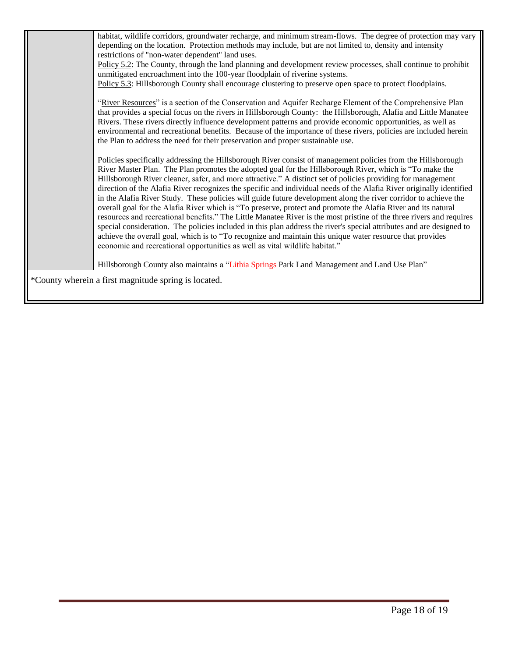|                                                      | habitat, wildlife corridors, groundwater recharge, and minimum stream-flows. The degree of protection may vary<br>depending on the location. Protection methods may include, but are not limited to, density and intensity<br>restrictions of "non-water dependent" land uses.<br>Policy 5.2: The County, through the land planning and development review processes, shall continue to prohibit<br>unmitigated encroachment into the 100-year floodplain of riverine systems.<br>Policy 5.3: Hillsborough County shall encourage clustering to preserve open space to protect floodplains.                                                                                                                                                                                                                                                                                                                                                                                                                                                                                                                                                     |  |
|------------------------------------------------------|-------------------------------------------------------------------------------------------------------------------------------------------------------------------------------------------------------------------------------------------------------------------------------------------------------------------------------------------------------------------------------------------------------------------------------------------------------------------------------------------------------------------------------------------------------------------------------------------------------------------------------------------------------------------------------------------------------------------------------------------------------------------------------------------------------------------------------------------------------------------------------------------------------------------------------------------------------------------------------------------------------------------------------------------------------------------------------------------------------------------------------------------------|--|
|                                                      | "River Resources" is a section of the Conservation and Aquifer Recharge Element of the Comprehensive Plan<br>that provides a special focus on the rivers in Hillsborough County: the Hillsborough, Alafia and Little Manatee<br>Rivers. These rivers directly influence development patterns and provide economic opportunities, as well as<br>environmental and recreational benefits. Because of the importance of these rivers, policies are included herein<br>the Plan to address the need for their preservation and proper sustainable use.                                                                                                                                                                                                                                                                                                                                                                                                                                                                                                                                                                                              |  |
|                                                      | Policies specifically addressing the Hillsborough River consist of management policies from the Hillsborough<br>River Master Plan. The Plan promotes the adopted goal for the Hillsborough River, which is "To make the<br>Hillsborough River cleaner, safer, and more attractive." A distinct set of policies providing for management<br>direction of the Alafia River recognizes the specific and individual needs of the Alafia River originally identified<br>in the Alafia River Study. These policies will guide future development along the river corridor to achieve the<br>overall goal for the Alafia River which is "To preserve, protect and promote the Alafia River and its natural<br>resources and recreational benefits." The Little Manatee River is the most pristine of the three rivers and requires<br>special consideration. The policies included in this plan address the river's special attributes and are designed to<br>achieve the overall goal, which is to "To recognize and maintain this unique water resource that provides<br>economic and recreational opportunities as well as vital wildlife habitat." |  |
|                                                      | Hillsborough County also maintains a "Lithia Springs Park Land Management and Land Use Plan"                                                                                                                                                                                                                                                                                                                                                                                                                                                                                                                                                                                                                                                                                                                                                                                                                                                                                                                                                                                                                                                    |  |
| *County wherein a first magnitude spring is located. |                                                                                                                                                                                                                                                                                                                                                                                                                                                                                                                                                                                                                                                                                                                                                                                                                                                                                                                                                                                                                                                                                                                                                 |  |